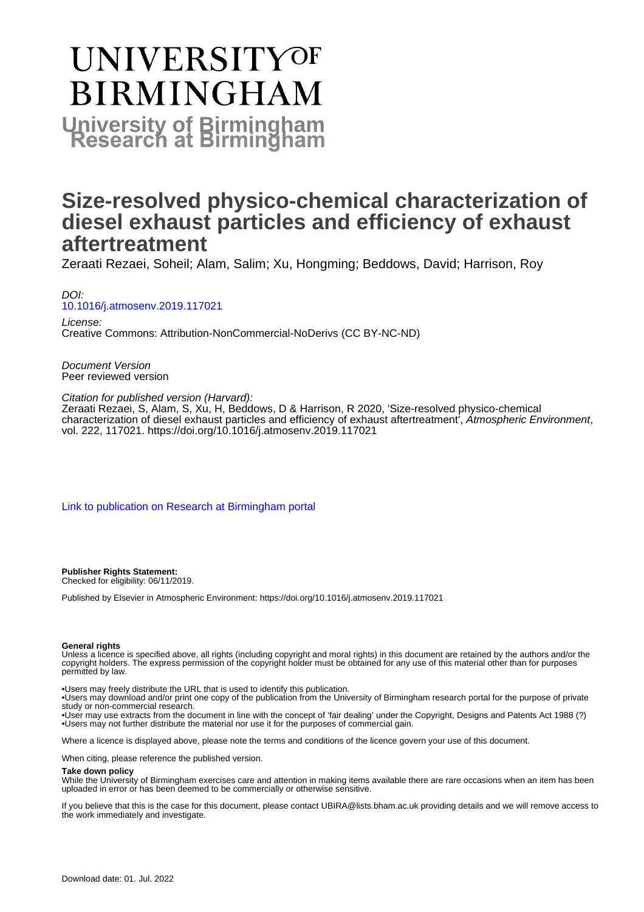# **UNIVERSITYOF BIRMINGHAM University of Birmingham**

# **Size-resolved physico-chemical characterization of diesel exhaust particles and efficiency of exhaust aftertreatment**

Zeraati Rezaei, Soheil; Alam, Salim; Xu, Hongming; Beddows, David; Harrison, Roy

DOI: [10.1016/j.atmosenv.2019.117021](https://doi.org/10.1016/j.atmosenv.2019.117021)

License: Creative Commons: Attribution-NonCommercial-NoDerivs (CC BY-NC-ND)

Document Version Peer reviewed version

Citation for published version (Harvard):

Zeraati Rezaei, S, Alam, S, Xu, H, Beddows, D & Harrison, R 2020, 'Size-resolved physico-chemical characterization of diesel exhaust particles and efficiency of exhaust aftertreatment', Atmospheric Environment, vol. 222, 117021.<https://doi.org/10.1016/j.atmosenv.2019.117021>

[Link to publication on Research at Birmingham portal](https://birmingham.elsevierpure.com/en/publications/7148a1a3-636e-4bcc-9bdc-adfe5a9ed11d)

**Publisher Rights Statement:** Checked for eligibility: 06/11/2019.

Published by Elsevier in Atmospheric Environment: https://doi.org/10.1016/j.atmosenv.2019.117021

#### **General rights**

Unless a licence is specified above, all rights (including copyright and moral rights) in this document are retained by the authors and/or the copyright holders. The express permission of the copyright holder must be obtained for any use of this material other than for purposes permitted by law.

• Users may freely distribute the URL that is used to identify this publication.

• Users may download and/or print one copy of the publication from the University of Birmingham research portal for the purpose of private study or non-commercial research.

• User may use extracts from the document in line with the concept of 'fair dealing' under the Copyright, Designs and Patents Act 1988 (?) • Users may not further distribute the material nor use it for the purposes of commercial gain.

Where a licence is displayed above, please note the terms and conditions of the licence govern your use of this document.

When citing, please reference the published version.

#### **Take down policy**

While the University of Birmingham exercises care and attention in making items available there are rare occasions when an item has been uploaded in error or has been deemed to be commercially or otherwise sensitive.

If you believe that this is the case for this document, please contact UBIRA@lists.bham.ac.uk providing details and we will remove access to the work immediately and investigate.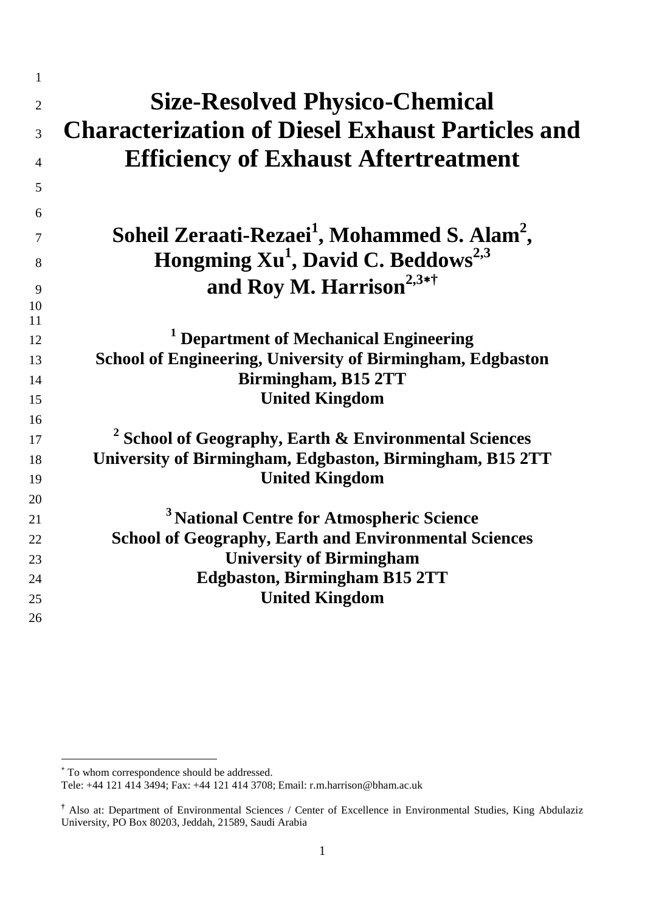| $\mathbf{1}$   |                                                                      |
|----------------|----------------------------------------------------------------------|
| $\overline{2}$ | <b>Size-Resolved Physico-Chemical</b>                                |
| 3              | <b>Characterization of Diesel Exhaust Particles and</b>              |
| 4              | <b>Efficiency of Exhaust Aftertreatment</b>                          |
| 5              |                                                                      |
| 6              |                                                                      |
| 7              | Soheil Zeraati-Rezaei <sup>1</sup> , Mohammed S. Alam <sup>2</sup> , |
| 8              | Hongming Xu <sup>1</sup> , David C. Beddows <sup>2,3</sup>           |
|                | and Roy M. Harrison <sup>2,3*†</sup>                                 |
| 9              |                                                                      |
| 10<br>11       |                                                                      |
| 12             | <sup>1</sup> Department of Mechanical Engineering                    |
| 13             | <b>School of Engineering, University of Birmingham, Edgbaston</b>    |
| 14             | Birmingham, B15 2TT                                                  |
| 15             | <b>United Kingdom</b>                                                |
| 16             |                                                                      |
| 17             | $2$ School of Geography, Earth & Environmental Sciences              |
| 18             | University of Birmingham, Edgbaston, Birmingham, B15 2TT             |
| 19             | <b>United Kingdom</b>                                                |
| 20             |                                                                      |
| 21             | <sup>3</sup> National Centre for Atmospheric Science                 |
| 22             | <b>School of Geography, Earth and Environmental Sciences</b>         |
| 23             | <b>University of Birmingham</b>                                      |
| 24             | <b>Edgbaston, Birmingham B15 2TT</b>                                 |
| 25             | <b>United Kingdom</b>                                                |
| 26             |                                                                      |
|                |                                                                      |

-

<span id="page-1-0"></span><sup>∗</sup> To whom correspondence should be addressed.

Tele: +44 121 414 3494; Fax: +44 121 414 3708; Email: r.m.harrison@bham.ac.uk

**<sup>†</sup>** Also at: Department of Environmental Sciences / Center of Excellence in Environmental Studies, King Abdulaziz University, PO Box 80203, Jeddah, 21589, Saudi Arabia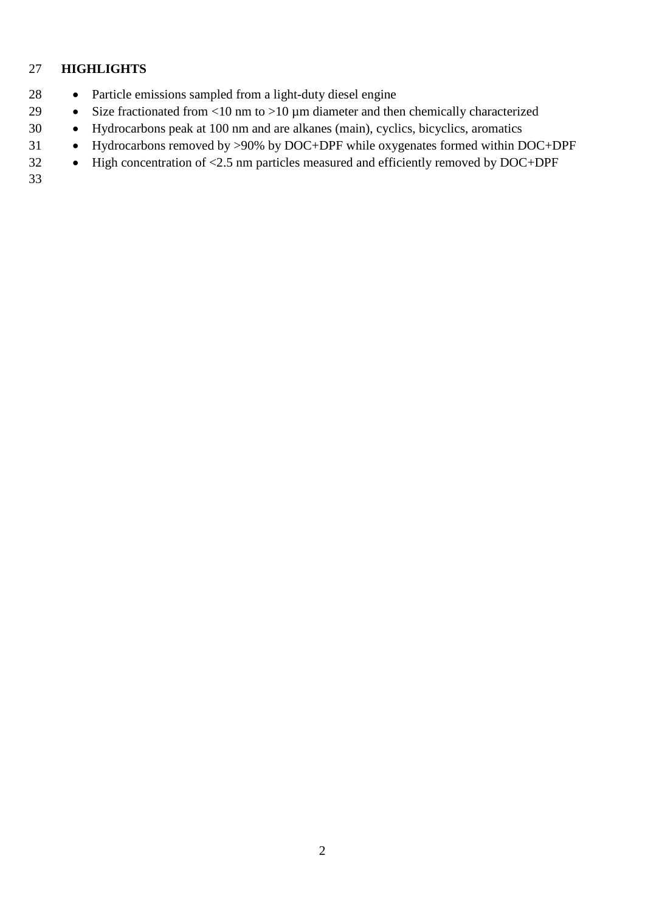# **HIGHLIGHTS**

- Particle emissions sampled from a light-duty diesel engine
- 29 Size fractionated from <10 nm to >10 µm diameter and then chemically characterized
- Hydrocarbons peak at 100 nm and are alkanes (main), cyclics, bicyclics, aromatics
- Hydrocarbons removed by >90% by DOC+DPF while oxygenates formed within DOC+DPF
- High concentration of <2.5 nm particles measured and efficiently removed by DOC+DPF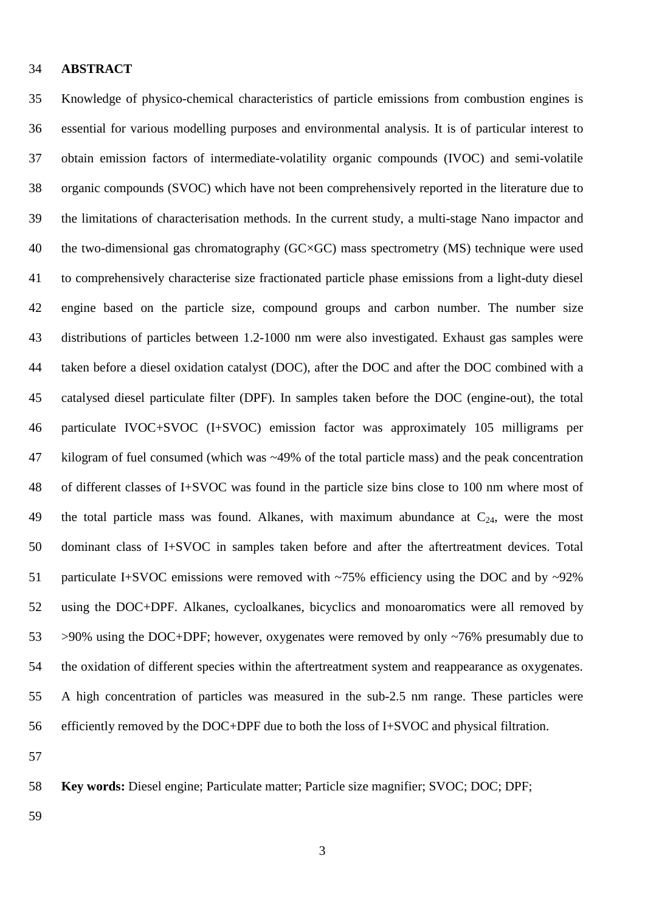#### **ABSTRACT**

 Knowledge of physico-chemical characteristics of particle emissions from combustion engines is essential for various modelling purposes and environmental analysis. It is of particular interest to obtain emission factors of intermediate-volatility organic compounds (IVOC) and semi-volatile organic compounds (SVOC) which have not been comprehensively reported in the literature due to the limitations of characterisation methods. In the current study, a multi-stage Nano impactor and 40 the two-dimensional gas chromatography (GC×GC) mass spectrometry (MS) technique were used to comprehensively characterise size fractionated particle phase emissions from a light-duty diesel engine based on the particle size, compound groups and carbon number. The number size distributions of particles between 1.2-1000 nm were also investigated. Exhaust gas samples were taken before a diesel oxidation catalyst (DOC), after the DOC and after the DOC combined with a catalysed diesel particulate filter (DPF). In samples taken before the DOC (engine-out), the total particulate IVOC+SVOC (I+SVOC) emission factor was approximately 105 milligrams per kilogram of fuel consumed (which was ~49% of the total particle mass) and the peak concentration of different classes of I+SVOC was found in the particle size bins close to 100 nm where most of 49 the total particle mass was found. Alkanes, with maximum abundance at  $C_{24}$ , were the most dominant class of I+SVOC in samples taken before and after the aftertreatment devices. Total 51 particulate I+SVOC emissions were removed with ~75% efficiency using the DOC and by ~92% using the DOC+DPF. Alkanes, cycloalkanes, bicyclics and monoaromatics were all removed by >90% using the DOC+DPF; however, oxygenates were removed by only ~76% presumably due to the oxidation of different species within the aftertreatment system and reappearance as oxygenates. A high concentration of particles was measured in the sub-2.5 nm range. These particles were efficiently removed by the DOC+DPF due to both the loss of I+SVOC and physical filtration.

**Key words:** Diesel engine; Particulate matter; Particle size magnifier; SVOC; DOC; DPF;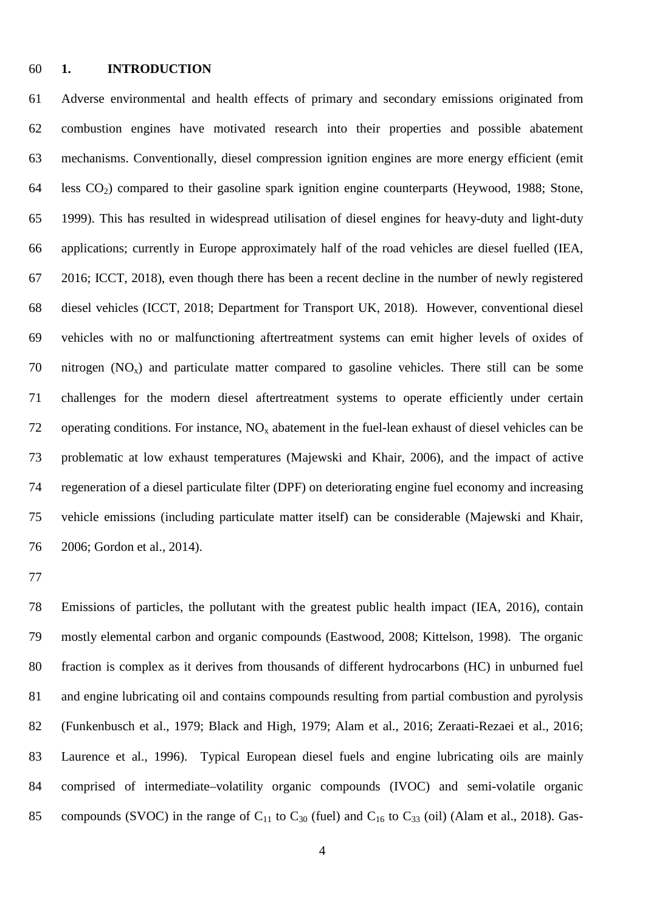#### **1. INTRODUCTION**

 Adverse environmental and health effects of primary and secondary emissions originated from combustion engines have motivated research into their properties and possible abatement mechanisms. Conventionally, diesel compression ignition engines are more energy efficient (emit 64 less  $CO<sub>2</sub>$ ) compared to their gasoline spark ignition engine counterparts (Heywood, 1988; Stone, 1999). This has resulted in widespread utilisation of diesel engines for heavy-duty and light-duty applications; currently in Europe approximately half of the road vehicles are diesel fuelled (IEA, 2016; ICCT, 2018), even though there has been a recent decline in the number of newly registered diesel vehicles (ICCT, 2018; Department for Transport UK, 2018). However, conventional diesel vehicles with no or malfunctioning aftertreatment systems can emit higher levels of oxides of 70 nitrogen  $(NO_x)$  and particulate matter compared to gasoline vehicles. There still can be some challenges for the modern diesel aftertreatment systems to operate efficiently under certain 72 operating conditions. For instance,  $NO<sub>x</sub>$  abatement in the fuel-lean exhaust of diesel vehicles can be problematic at low exhaust temperatures (Majewski and Khair, 2006), and the impact of active regeneration of a diesel particulate filter (DPF) on deteriorating engine fuel economy and increasing vehicle emissions (including particulate matter itself) can be considerable (Majewski and Khair, 2006; Gordon et al., 2014).

 Emissions of particles, the pollutant with the greatest public health impact (IEA, 2016), contain mostly elemental carbon and organic compounds (Eastwood, 2008; Kittelson, 1998). The organic fraction is complex as it derives from thousands of different hydrocarbons (HC) in unburned fuel and engine lubricating oil and contains compounds resulting from partial combustion and pyrolysis (Funkenbusch et al., 1979; Black and High, 1979; Alam et al., 2016; Zeraati-Rezaei et al., 2016; Laurence et al., 1996). Typical European diesel fuels and engine lubricating oils are mainly comprised of intermediate–volatility organic compounds (IVOC) and semi-volatile organic 85 compounds (SVOC) in the range of  $C_{11}$  to  $C_{30}$  (fuel) and  $C_{16}$  to  $C_{33}$  (oil) (Alam et al., 2018). Gas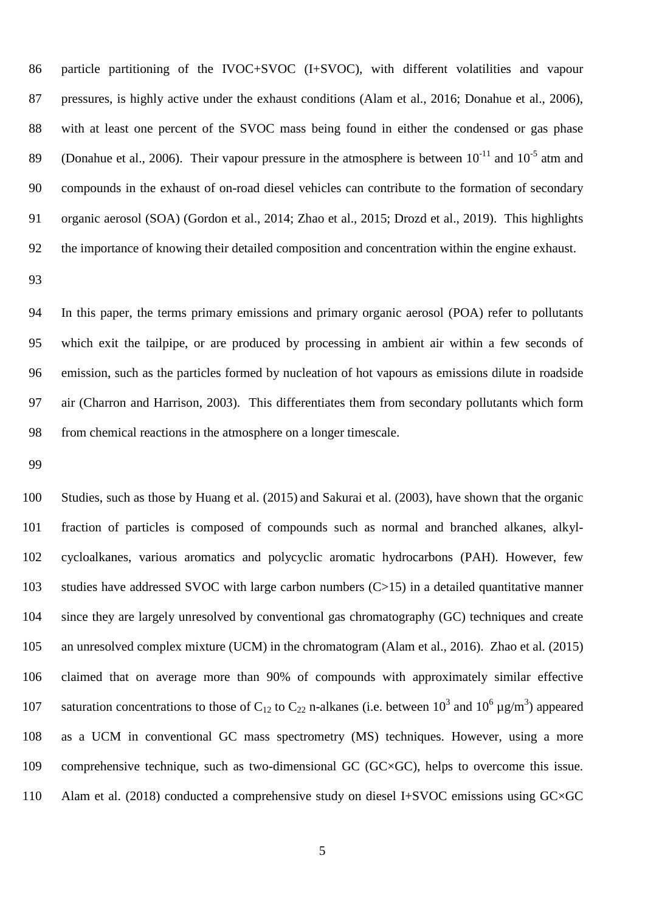particle partitioning of the IVOC+SVOC (I+SVOC), with different volatilities and vapour pressures, is highly active under the exhaust conditions (Alam et al., 2016; Donahue et al., 2006), with at least one percent of the SVOC mass being found in either the condensed or gas phase (Donahue et al., 2006). Their vapour pressure in the atmosphere is between  $10^{-11}$  and  $10^{-5}$  atm and compounds in the exhaust of on-road diesel vehicles can contribute to the formation of secondary organic aerosol (SOA) (Gordon et al., 2014; Zhao et al., 2015; Drozd et al., 2019). This highlights the importance of knowing their detailed composition and concentration within the engine exhaust.

 In this paper, the terms primary emissions and primary organic aerosol (POA) refer to pollutants which exit the tailpipe, or are produced by processing in ambient air within a few seconds of emission, such as the particles formed by nucleation of hot vapours as emissions dilute in roadside air (Charron and Harrison, 2003). This differentiates them from secondary pollutants which form from chemical reactions in the atmosphere on a longer timescale.

 Studies, such as those by Huang et al. (2015) and Sakurai et al. (2003), have shown that the organic fraction of particles is composed of compounds such as normal and branched alkanes, alkyl- cycloalkanes, various aromatics and polycyclic aromatic hydrocarbons (PAH). However, few studies have addressed SVOC with large carbon numbers (C>15) in a detailed quantitative manner since they are largely unresolved by conventional gas chromatography (GC) techniques and create an unresolved complex mixture (UCM) in the chromatogram (Alam et al., 2016). Zhao et al. (2015) claimed that on average more than 90% of compounds with approximately similar effective 107 saturation concentrations to those of C<sub>12</sub> to C<sub>22</sub> n-alkanes (i.e. between 10<sup>3</sup> and 10<sup>6</sup>  $\mu$ g/m<sup>3</sup>) appeared as a UCM in conventional GC mass spectrometry (MS) techniques. However, using a more 109 comprehensive technique, such as two-dimensional GC ( $GCxGC$ ), helps to overcome this issue. Alam et al. (2018) conducted a comprehensive study on diesel I+SVOC emissions using GC×GC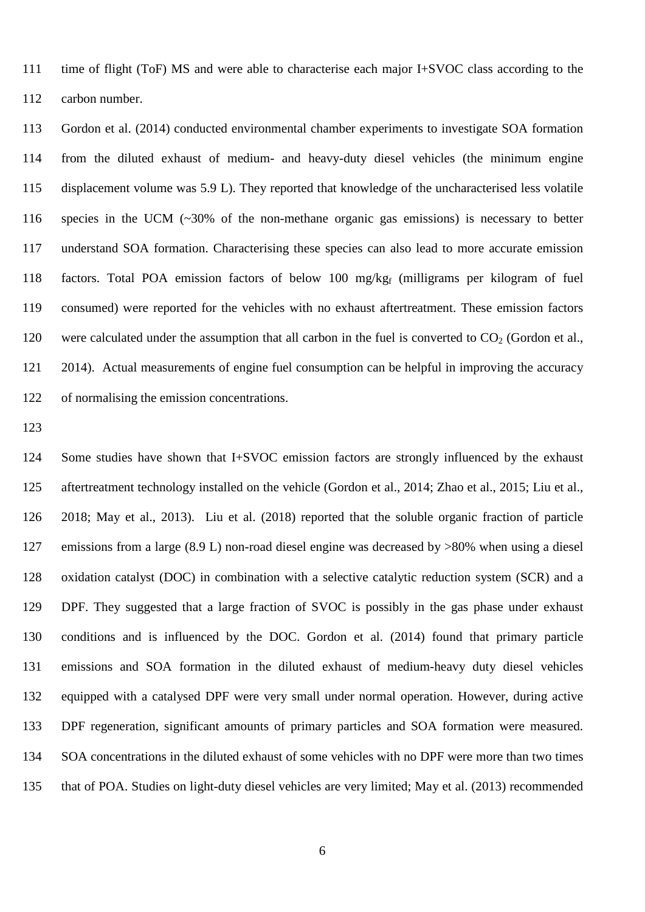time of flight (ToF) MS and were able to characterise each major I+SVOC class according to the carbon number.

 Gordon et al. (2014) conducted environmental chamber experiments to investigate SOA formation from the diluted exhaust of medium- and heavy-duty diesel vehicles (the minimum engine displacement volume was 5.9 L). They reported that knowledge of the uncharacterised less volatile species in the UCM (~30% of the non-methane organic gas emissions) is necessary to better understand SOA formation. Characterising these species can also lead to more accurate emission 118 factors. Total POA emission factors of below 100 mg/kg<sub>f</sub> (milligrams per kilogram of fuel consumed) were reported for the vehicles with no exhaust aftertreatment. These emission factors 120 were calculated under the assumption that all carbon in the fuel is converted to  $CO<sub>2</sub>$  (Gordon et al., 2014). Actual measurements of engine fuel consumption can be helpful in improving the accuracy of normalising the emission concentrations.

 Some studies have shown that I+SVOC emission factors are strongly influenced by the exhaust aftertreatment technology installed on the vehicle (Gordon et al., 2014; Zhao et al., 2015; Liu et al., 2018; May et al., 2013). Liu et al. (2018) reported that the soluble organic fraction of particle emissions from a large (8.9 L) non-road diesel engine was decreased by >80% when using a diesel oxidation catalyst (DOC) in combination with a selective catalytic reduction system (SCR) and a DPF. They suggested that a large fraction of SVOC is possibly in the gas phase under exhaust conditions and is influenced by the DOC. Gordon et al. (2014) found that primary particle emissions and SOA formation in the diluted exhaust of medium-heavy duty diesel vehicles equipped with a catalysed DPF were very small under normal operation. However, during active DPF regeneration, significant amounts of primary particles and SOA formation were measured. SOA concentrations in the diluted exhaust of some vehicles with no DPF were more than two times that of POA. Studies on light-duty diesel vehicles are very limited; May et al. (2013) recommended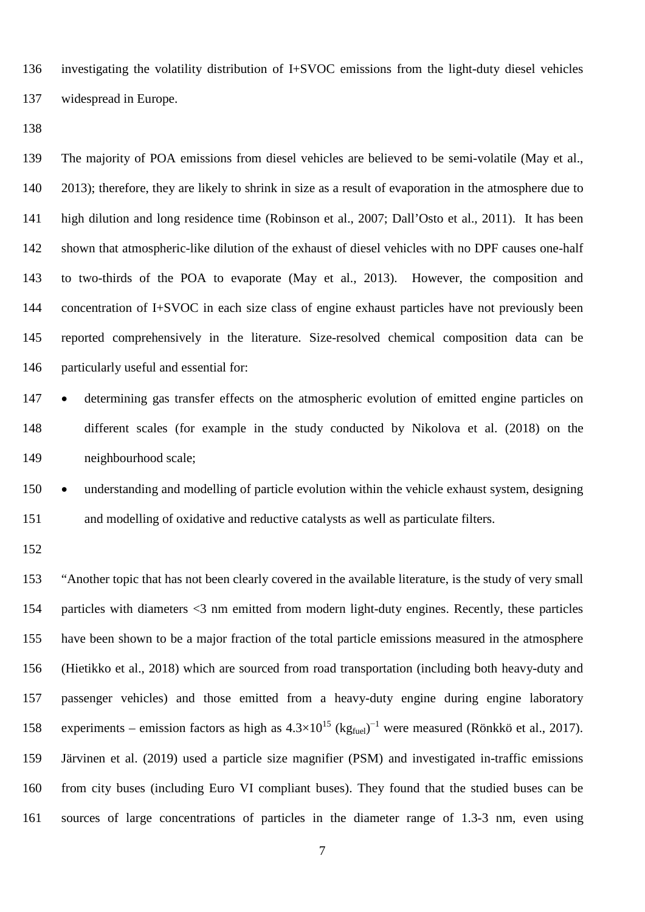investigating the volatility distribution of I+SVOC emissions from the light-duty diesel vehicles widespread in Europe.

 The majority of POA emissions from diesel vehicles are believed to be semi-volatile (May et al., 2013); therefore, they are likely to shrink in size as a result of evaporation in the atmosphere due to high dilution and long residence time (Robinson et al., 2007; Dall'Osto et al., 2011). It has been shown that atmospheric-like dilution of the exhaust of diesel vehicles with no DPF causes one-half to two-thirds of the POA to evaporate (May et al., 2013). However, the composition and concentration of I+SVOC in each size class of engine exhaust particles have not previously been reported comprehensively in the literature. Size-resolved chemical composition data can be particularly useful and essential for:

 • determining gas transfer effects on the atmospheric evolution of emitted engine particles on different scales (for example in the study conducted by Nikolova et al. (2018) on the neighbourhood scale;

 • understanding and modelling of particle evolution within the vehicle exhaust system, designing and modelling of oxidative and reductive catalysts as well as particulate filters.

 "Another topic that has not been clearly covered in the available literature, is the study of very small particles with diameters <3 nm emitted from modern light-duty engines. Recently, these particles have been shown to be a major fraction of the total particle emissions measured in the atmosphere (Hietikko et al., 2018) which are sourced from road transportation (including both heavy-duty and passenger vehicles) and those emitted from a heavy-duty engine during engine laboratory 158 experiments – emission factors as high as  $4.3 \times 10^{15}$  (kg<sub>fuel</sub>)<sup>-1</sup> were measured (Rönkkö et al., 2017). Järvinen et al. (2019) used a particle size magnifier (PSM) and investigated in-traffic emissions from city buses (including Euro VI compliant buses). They found that the studied buses can be sources of large concentrations of particles in the diameter range of 1.3-3 nm, even using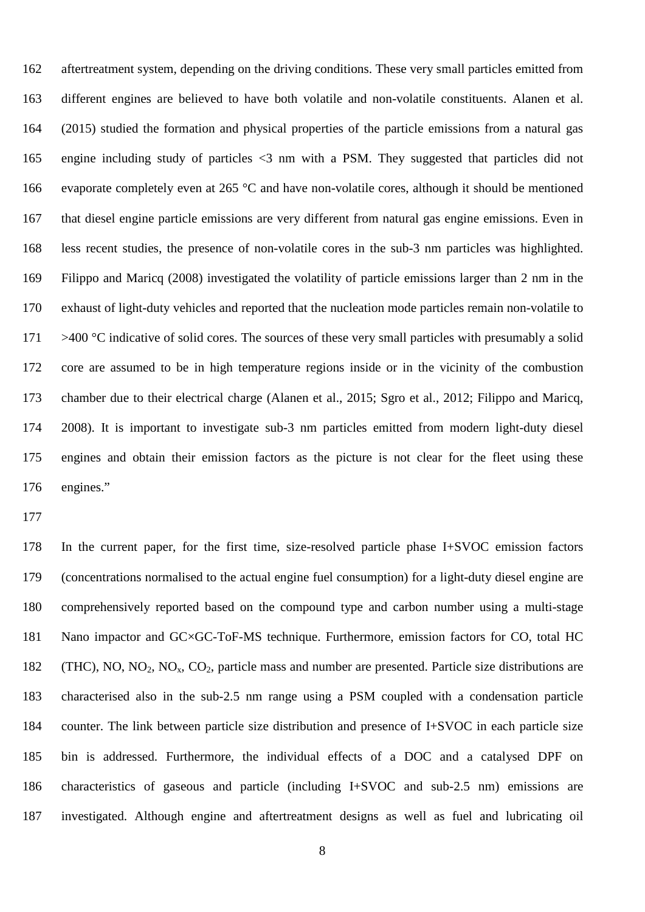aftertreatment system, depending on the driving conditions. These very small particles emitted from different engines are believed to have both volatile and non-volatile constituents. Alanen et al. (2015) studied the formation and physical properties of the particle emissions from a natural gas engine including study of particles <3 nm with a PSM. They suggested that particles did not evaporate completely even at 265 °C and have non-volatile cores, although it should be mentioned that diesel engine particle emissions are very different from natural gas engine emissions. Even in less recent studies, the presence of non-volatile cores in the sub-3 nm particles was highlighted. Filippo and Maricq (2008) investigated the volatility of particle emissions larger than 2 nm in the exhaust of light-duty vehicles and reported that the nucleation mode particles remain non-volatile to  $\rightarrow$  400 °C indicative of solid cores. The sources of these very small particles with presumably a solid core are assumed to be in high temperature regions inside or in the vicinity of the combustion chamber due to their electrical charge (Alanen et al., 2015; Sgro et al., 2012; Filippo and Maricq, 2008). It is important to investigate sub-3 nm particles emitted from modern light-duty diesel engines and obtain their emission factors as the picture is not clear for the fleet using these engines."

 In the current paper, for the first time, size-resolved particle phase I+SVOC emission factors (concentrations normalised to the actual engine fuel consumption) for a light-duty diesel engine are comprehensively reported based on the compound type and carbon number using a multi-stage Nano impactor and GC×GC-ToF-MS technique. Furthermore, emission factors for CO, total HC 182 (THC), NO, NO<sub>2</sub>, NO<sub>x</sub>, CO<sub>2</sub>, particle mass and number are presented. Particle size distributions are characterised also in the sub-2.5 nm range using a PSM coupled with a condensation particle counter. The link between particle size distribution and presence of I+SVOC in each particle size bin is addressed. Furthermore, the individual effects of a DOC and a catalysed DPF on characteristics of gaseous and particle (including I+SVOC and sub-2.5 nm) emissions are investigated. Although engine and aftertreatment designs as well as fuel and lubricating oil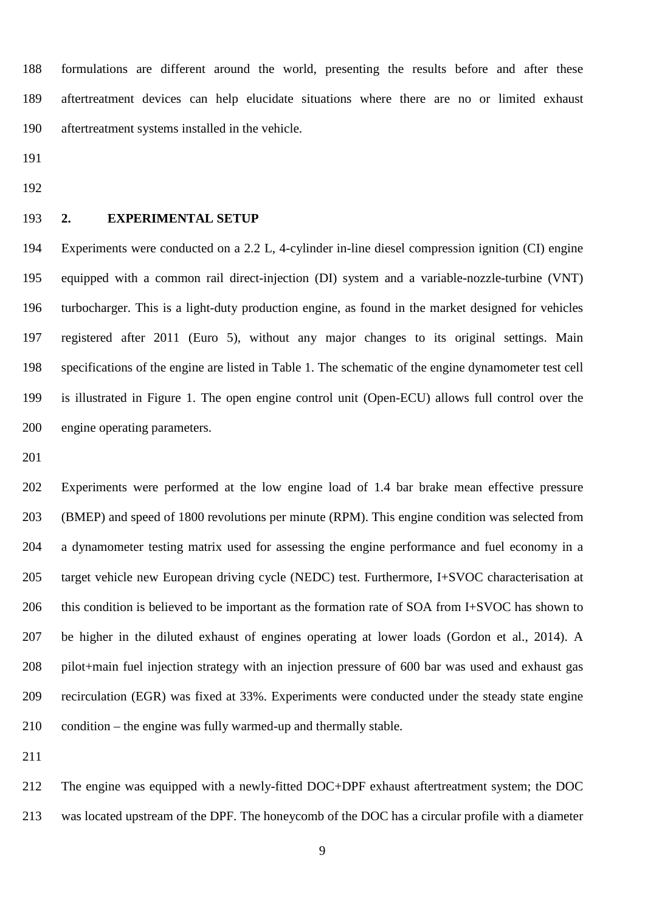formulations are different around the world, presenting the results before and after these aftertreatment devices can help elucidate situations where there are no or limited exhaust aftertreatment systems installed in the vehicle.

#### **2. EXPERIMENTAL SETUP**

 Experiments were conducted on a 2.2 L, 4-cylinder in-line diesel compression ignition (CI) engine equipped with a common rail direct-injection (DI) system and a variable-nozzle-turbine (VNT) turbocharger. This is a light-duty production engine, as found in the market designed for vehicles registered after 2011 (Euro 5), without any major changes to its original settings. Main specifications of the engine are listed in Table 1. The schematic of the engine dynamometer test cell is illustrated in Figure 1. The open engine control unit (Open-ECU) allows full control over the engine operating parameters.

 Experiments were performed at the low engine load of 1.4 bar brake mean effective pressure (BMEP) and speed of 1800 revolutions per minute (RPM). This engine condition was selected from a dynamometer testing matrix used for assessing the engine performance and fuel economy in a 205 target vehicle new European driving cycle (NEDC) test. Furthermore, I+SVOC characterisation at this condition is believed to be important as the formation rate of SOA from I+SVOC has shown to be higher in the diluted exhaust of engines operating at lower loads (Gordon et al., 2014). A pilot+main fuel injection strategy with an injection pressure of 600 bar was used and exhaust gas recirculation (EGR) was fixed at 33%. Experiments were conducted under the steady state engine condition – the engine was fully warmed-up and thermally stable.

 The engine was equipped with a newly-fitted DOC+DPF exhaust aftertreatment system; the DOC was located upstream of the DPF. The honeycomb of the DOC has a circular profile with a diameter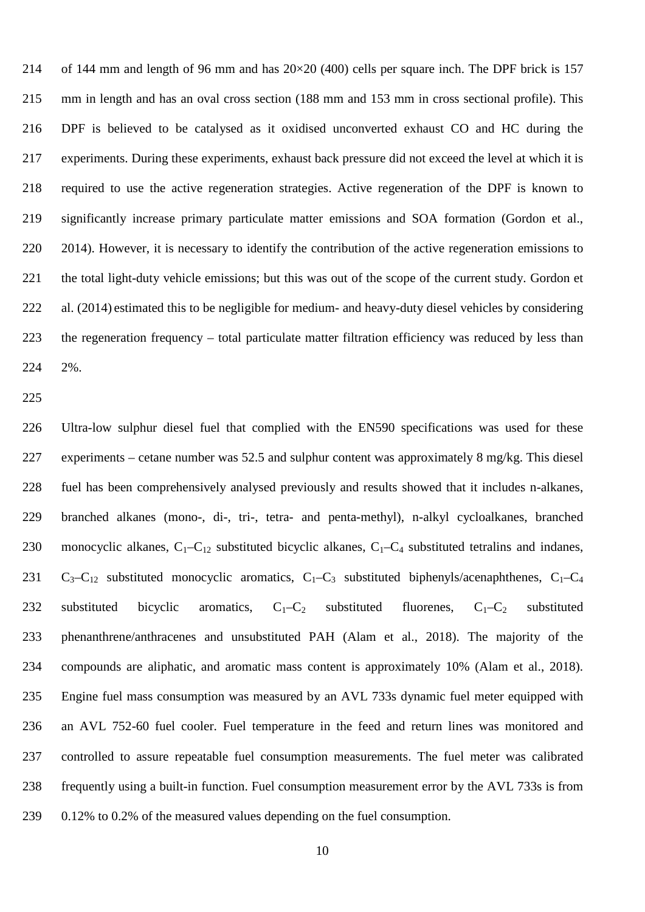of 144 mm and length of 96 mm and has 20×20 (400) cells per square inch. The DPF brick is 157 mm in length and has an oval cross section (188 mm and 153 mm in cross sectional profile). This DPF is believed to be catalysed as it oxidised unconverted exhaust CO and HC during the experiments. During these experiments, exhaust back pressure did not exceed the level at which it is required to use the active regeneration strategies. Active regeneration of the DPF is known to significantly increase primary particulate matter emissions and SOA formation (Gordon et al., 2014). However, it is necessary to identify the contribution of the active regeneration emissions to the total light-duty vehicle emissions; but this was out of the scope of the current study. Gordon et al. (2014) estimated this to be negligible for medium- and heavy-duty diesel vehicles by considering 223 the regeneration frequency – total particulate matter filtration efficiency was reduced by less than 2%.

 Ultra-low sulphur diesel fuel that complied with the EN590 specifications was used for these experiments – cetane number was 52.5 and sulphur content was approximately 8 mg/kg. This diesel fuel has been comprehensively analysed previously and results showed that it includes n-alkanes, branched alkanes (mono-, di-, tri-, tetra- and penta-methyl), n-alkyl cycloalkanes, branched 230 monocyclic alkanes,  $C_1-C_{12}$  substituted bicyclic alkanes,  $C_1-C_4$  substituted tetralins and indanes,  $C_3-C_{12}$  substituted monocyclic aromatics,  $C_1-C_3$  substituted biphenyls/acenaphthenes,  $C_1-C_4$ 232 substituted bicyclic aromatics,  $C_1-C_2$  substituted fluorenes,  $C_1-C_2$  substituted phenanthrene/anthracenes and unsubstituted PAH (Alam et al., 2018). The majority of the compounds are aliphatic, and aromatic mass content is approximately 10% (Alam et al., 2018). Engine fuel mass consumption was measured by an AVL 733s dynamic fuel meter equipped with an AVL 752-60 fuel cooler. Fuel temperature in the feed and return lines was monitored and controlled to assure repeatable fuel consumption measurements. The fuel meter was calibrated frequently using a built-in function. Fuel consumption measurement error by the AVL 733s is from 0.12% to 0.2% of the measured values depending on the fuel consumption.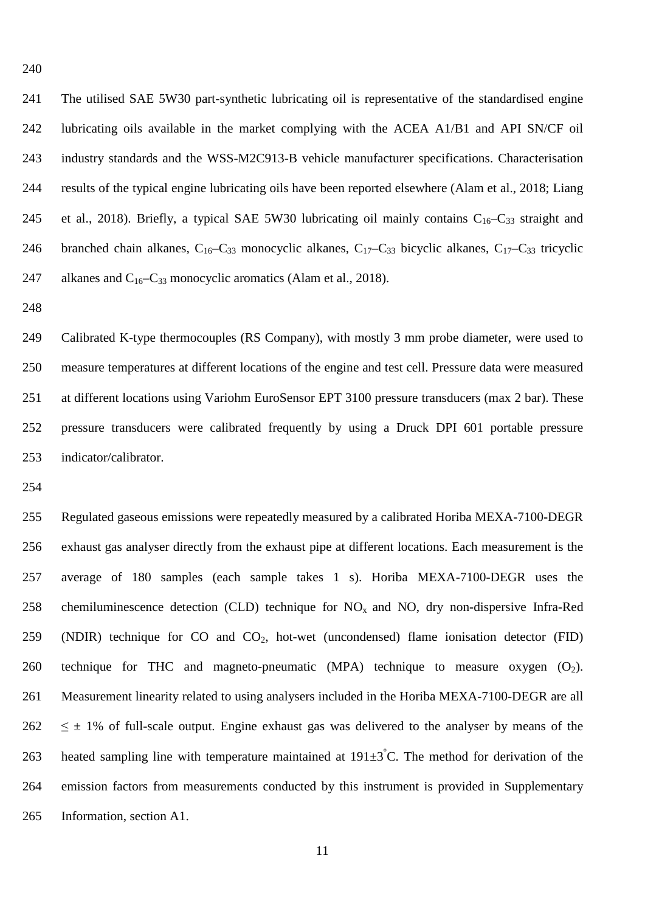The utilised SAE 5W30 part-synthetic lubricating oil is representative of the standardised engine lubricating oils available in the market complying with the ACEA A1/B1 and API SN/CF oil industry standards and the WSS-M2C913-B vehicle manufacturer specifications. Characterisation results of the typical engine lubricating oils have been reported elsewhere (Alam et al., 2018; Liang 245 et al., 2018). Briefly, a typical SAE 5W30 lubricating oil mainly contains  $C_{16}-C_{33}$  straight and 246 branched chain alkanes,  $C_{16} - C_{33}$  monocyclic alkanes,  $C_{17} - C_{33}$  bicyclic alkanes,  $C_{17} - C_{33}$  tricyclic 247 alkanes and  $C_{16}-C_{33}$  monocyclic aromatics (Alam et al., 2018).

249 Calibrated K-type thermocouples (RS Company), with mostly 3 mm probe diameter, were used to measure temperatures at different locations of the engine and test cell. Pressure data were measured at different locations using Variohm EuroSensor EPT 3100 pressure transducers (max 2 bar). These pressure transducers were calibrated frequently by using a Druck DPI 601 portable pressure indicator/calibrator.

 Regulated gaseous emissions were repeatedly measured by a calibrated Horiba MEXA-7100-DEGR exhaust gas analyser directly from the exhaust pipe at different locations. Each measurement is the average of 180 samples (each sample takes 1 s). Horiba MEXA-7100-DEGR uses the 258 chemiluminescence detection (CLD) technique for  $NO<sub>x</sub>$  and NO, dry non-dispersive Infra-Red 259 (NDIR) technique for CO and  $CO<sub>2</sub>$ , hot-wet (uncondensed) flame ionisation detector (FID) 260 technique for THC and magneto-pneumatic (MPA) technique to measure oxygen  $(O_2)$ . Measurement linearity related to using analysers included in the Horiba MEXA-7100-DEGR are all  $262 \leq \pm 1\%$  of full-scale output. Engine exhaust gas was delivered to the analyser by means of the 263 heated sampling line with temperature maintained at  $191\pm3^{\circ}$ C. The method for derivation of the emission factors from measurements conducted by this instrument is provided in Supplementary Information, section A1.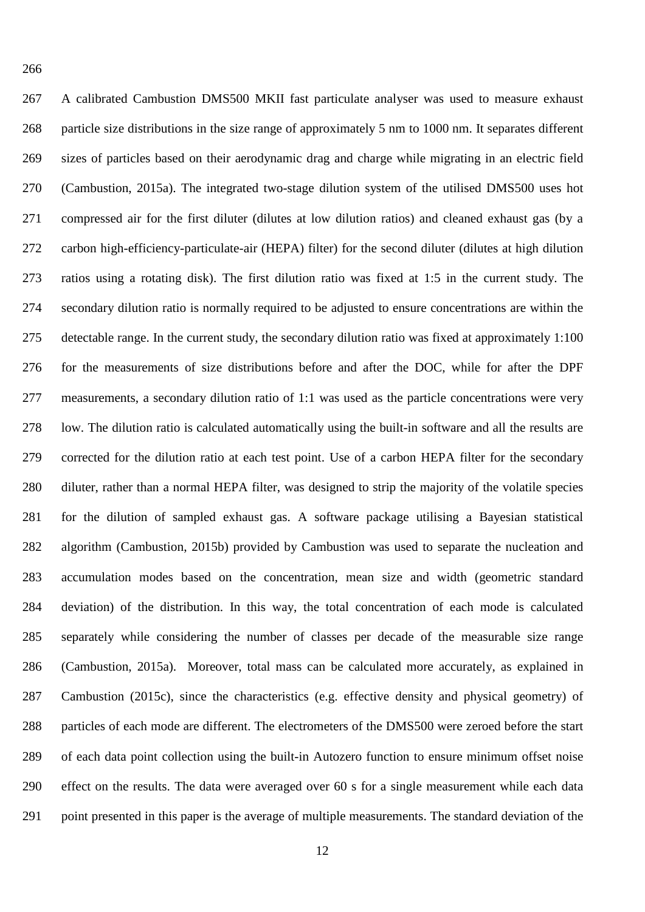A calibrated Cambustion DMS500 MKII fast particulate analyser was used to measure exhaust particle size distributions in the size range of approximately 5 nm to 1000 nm. It separates different sizes of particles based on their aerodynamic drag and charge while migrating in an electric field (Cambustion, 2015a). The integrated two-stage dilution system of the utilised DMS500 uses hot compressed air for the first diluter (dilutes at low dilution ratios) and cleaned exhaust gas (by a carbon high-efficiency-particulate-air (HEPA) filter) for the second diluter (dilutes at high dilution ratios using a rotating disk). The first dilution ratio was fixed at 1:5 in the current study. The secondary dilution ratio is normally required to be adjusted to ensure concentrations are within the detectable range. In the current study, the secondary dilution ratio was fixed at approximately 1:100 for the measurements of size distributions before and after the DOC, while for after the DPF measurements, a secondary dilution ratio of 1:1 was used as the particle concentrations were very low. The dilution ratio is calculated automatically using the built-in software and all the results are corrected for the dilution ratio at each test point. Use of a carbon HEPA filter for the secondary diluter, rather than a normal HEPA filter, was designed to strip the majority of the volatile species for the dilution of sampled exhaust gas. A software package utilising a Bayesian statistical algorithm (Cambustion, 2015b) provided by Cambustion was used to separate the nucleation and accumulation modes based on the concentration, mean size and width (geometric standard deviation) of the distribution. In this way, the total concentration of each mode is calculated separately while considering the number of classes per decade of the measurable size range (Cambustion, 2015a). Moreover, total mass can be calculated more accurately, as explained in Cambustion (2015c), since the characteristics (e.g. effective density and physical geometry) of particles of each mode are different. The electrometers of the DMS500 were zeroed before the start of each data point collection using the built-in Autozero function to ensure minimum offset noise effect on the results. The data were averaged over 60 s for a single measurement while each data point presented in this paper is the average of multiple measurements. The standard deviation of the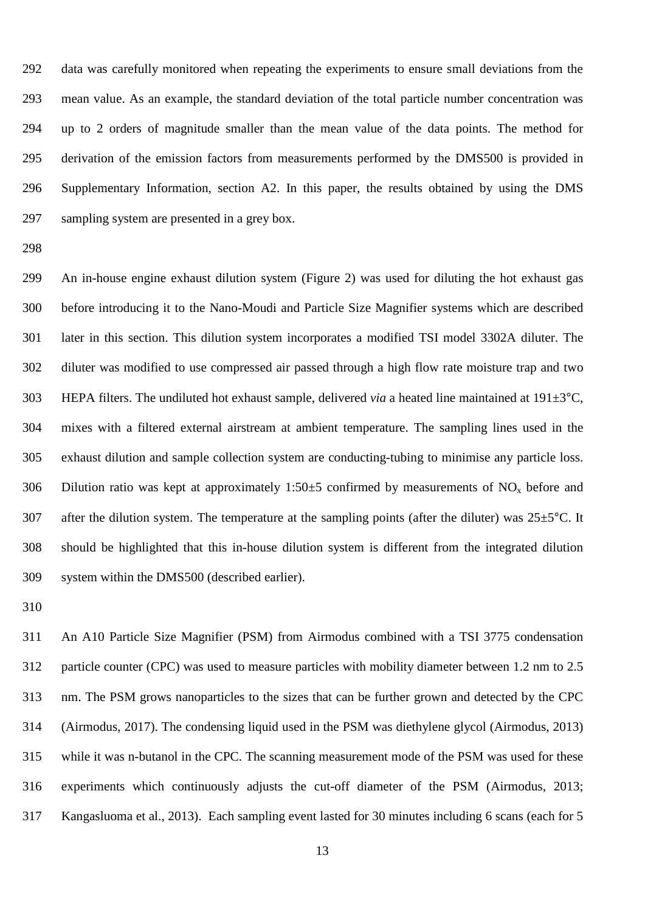data was carefully monitored when repeating the experiments to ensure small deviations from the mean value. As an example, the standard deviation of the total particle number concentration was up to 2 orders of magnitude smaller than the mean value of the data points. The method for derivation of the emission factors from measurements performed by the DMS500 is provided in Supplementary Information, section A2. In this paper, the results obtained by using the DMS sampling system are presented in a grey box.

 An in-house engine exhaust dilution system (Figure 2) was used for diluting the hot exhaust gas before introducing it to the Nano-Moudi and Particle Size Magnifier systems which are described later in this section. This dilution system incorporates a modified TSI model 3302A diluter. The diluter was modified to use compressed air passed through a high flow rate moisture trap and two 303 HEPA filters. The undiluted hot exhaust sample, delivered *via* a heated line maintained at  $191\pm3$ °C, mixes with a filtered external airstream at ambient temperature. The sampling lines used in the exhaust dilution and sample collection system are conducting-tubing to minimise any particle loss. 306 Dilution ratio was kept at approximately 1:50 $\pm$ 5 confirmed by measurements of NO<sub>x</sub> before and 307 after the dilution system. The temperature at the sampling points (after the diluter) was  $25\pm5^{\circ}$ C. It should be highlighted that this in-house dilution system is different from the integrated dilution system within the DMS500 (described earlier).

 An A10 Particle Size Magnifier (PSM) from Airmodus combined with a TSI 3775 condensation particle counter (CPC) was used to measure particles with mobility diameter between 1.2 nm to 2.5 nm. The PSM grows nanoparticles to the sizes that can be further grown and detected by the CPC (Airmodus, 2017). The condensing liquid used in the PSM was diethylene glycol (Airmodus, 2013) while it was n-butanol in the CPC. The scanning measurement mode of the PSM was used for these experiments which continuously adjusts the cut-off diameter of the PSM (Airmodus, 2013; Kangasluoma et al., 2013). Each sampling event lasted for 30 minutes including 6 scans (each for 5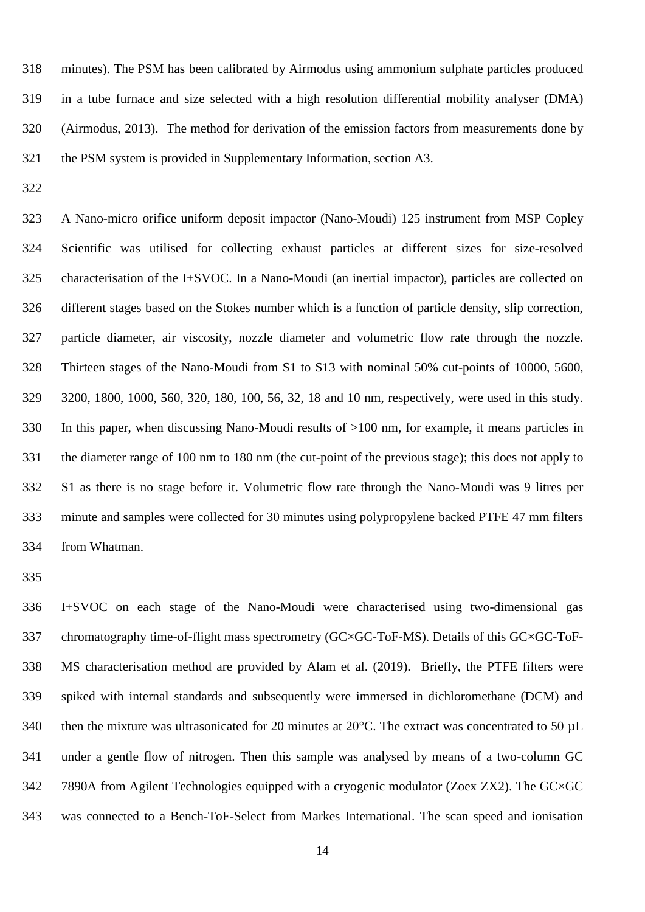minutes). The PSM has been calibrated by Airmodus using ammonium sulphate particles produced in a tube furnace and size selected with a high resolution differential mobility analyser (DMA) (Airmodus, 2013). The method for derivation of the emission factors from measurements done by the PSM system is provided in Supplementary Information, section A3.

 A Nano-micro orifice uniform deposit impactor (Nano-Moudi) 125 instrument from MSP Copley Scientific was utilised for collecting exhaust particles at different sizes for size-resolved characterisation of the I+SVOC. In a Nano-Moudi (an inertial impactor), particles are collected on different stages based on the Stokes number which is a function of particle density, slip correction, particle diameter, air viscosity, nozzle diameter and volumetric flow rate through the nozzle. Thirteen stages of the Nano-Moudi from S1 to S13 with nominal 50% cut-points of 10000, 5600, 3200, 1800, 1000, 560, 320, 180, 100, 56, 32, 18 and 10 nm, respectively, were used in this study. In this paper, when discussing Nano-Moudi results of >100 nm, for example, it means particles in the diameter range of 100 nm to 180 nm (the cut-point of the previous stage); this does not apply to S1 as there is no stage before it. Volumetric flow rate through the Nano-Moudi was 9 litres per minute and samples were collected for 30 minutes using polypropylene backed PTFE 47 mm filters from Whatman.

 I+SVOC on each stage of the Nano-Moudi were characterised using two-dimensional gas 337 chromatography time-of-flight mass spectrometry (GC×GC-ToF-MS). Details of this GC×GC-ToF- MS characterisation method are provided by Alam et al. (2019). Briefly, the PTFE filters were spiked with internal standards and subsequently were immersed in dichloromethane (DCM) and 340 then the mixture was ultrasonicated for 20 minutes at 20°C. The extract was concentrated to 50 µL under a gentle flow of nitrogen. Then this sample was analysed by means of a two-column GC 7890A from Agilent Technologies equipped with a cryogenic modulator (Zoex ZX2). The GC×GC was connected to a Bench-ToF-Select from Markes International. The scan speed and ionisation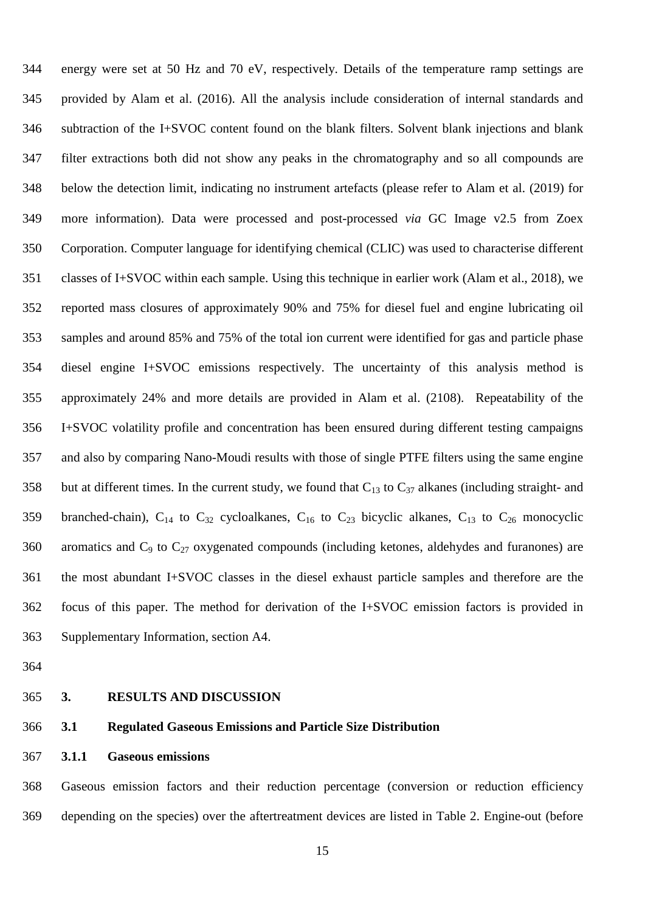energy were set at 50 Hz and 70 eV, respectively. Details of the temperature ramp settings are provided by Alam et al. (2016). All the analysis include consideration of internal standards and subtraction of the I+SVOC content found on the blank filters. Solvent blank injections and blank filter extractions both did not show any peaks in the chromatography and so all compounds are below the detection limit, indicating no instrument artefacts (please refer to Alam et al. (2019) for more information). Data were processed and post-processed *via* GC Image v2.5 from Zoex Corporation. Computer language for identifying chemical (CLIC) was used to characterise different classes of I+SVOC within each sample. Using this technique in earlier work (Alam et al., 2018), we reported mass closures of approximately 90% and 75% for diesel fuel and engine lubricating oil samples and around 85% and 75% of the total ion current were identified for gas and particle phase diesel engine I+SVOC emissions respectively. The uncertainty of this analysis method is approximately 24% and more details are provided in Alam et al. (2108). Repeatability of the I+SVOC volatility profile and concentration has been ensured during different testing campaigns and also by comparing Nano-Moudi results with those of single PTFE filters using the same engine 358 but at different times. In the current study, we found that  $C_{13}$  to  $C_{37}$  alkanes (including straight- and 359 branched-chain),  $C_{14}$  to  $C_{32}$  cycloalkanes,  $C_{16}$  to  $C_{23}$  bicyclic alkanes,  $C_{13}$  to  $C_{26}$  monocyclic 360 aromatics and  $C_9$  to  $C_{27}$  oxygenated compounds (including ketones, aldehydes and furanones) are the most abundant I+SVOC classes in the diesel exhaust particle samples and therefore are the focus of this paper. The method for derivation of the I+SVOC emission factors is provided in Supplementary Information, section A4.

- 
- 

#### **3. RESULTS AND DISCUSSION**

#### **3.1 Regulated Gaseous Emissions and Particle Size Distribution**

**3.1.1 Gaseous emissions**

 Gaseous emission factors and their reduction percentage (conversion or reduction efficiency depending on the species) over the aftertreatment devices are listed in Table 2. Engine-out (before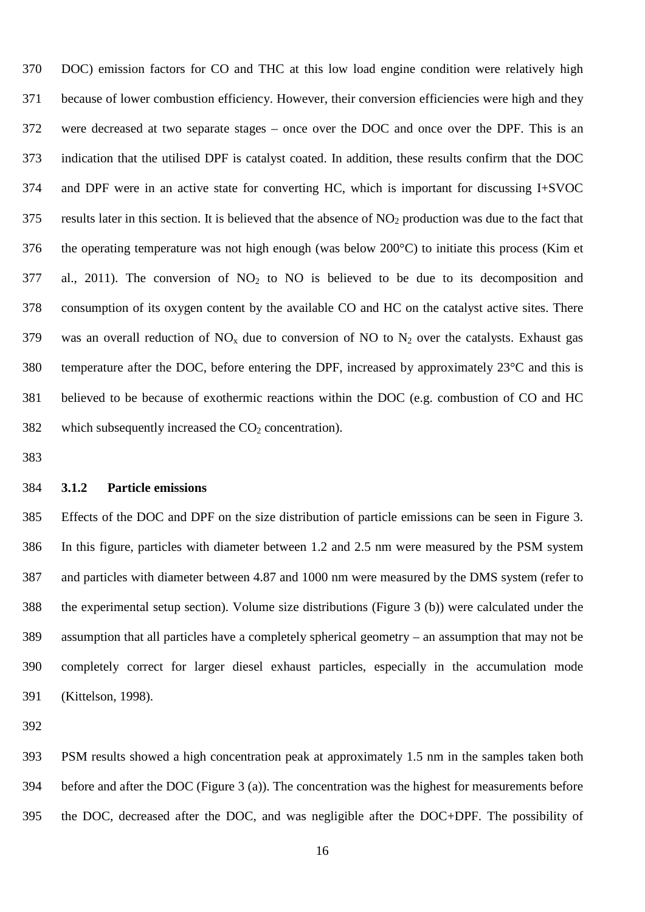DOC) emission factors for CO and THC at this low load engine condition were relatively high because of lower combustion efficiency. However, their conversion efficiencies were high and they were decreased at two separate stages – once over the DOC and once over the DPF. This is an indication that the utilised DPF is catalyst coated. In addition, these results confirm that the DOC and DPF were in an active state for converting HC, which is important for discussing I+SVOC results later in this section. It is believed that the absence of NO<sub>2</sub> production was due to the fact that the operating temperature was not high enough (was below 200°C) to initiate this process (Kim et 377 al., 2011). The conversion of  $NO<sub>2</sub>$  to  $NO<sub>1</sub>$  is believed to be due to its decomposition and consumption of its oxygen content by the available CO and HC on the catalyst active sites. There 379 was an overall reduction of  $NO_x$  due to conversion of NO to  $N_2$  over the catalysts. Exhaust gas 380 temperature after the DOC, before entering the DPF, increased by approximately  $23^{\circ}$ C and this is believed to be because of exothermic reactions within the DOC (e.g. combustion of CO and HC 382 which subsequently increased the  $CO<sub>2</sub>$  concentration).

#### **3.1.2 Particle emissions**

 Effects of the DOC and DPF on the size distribution of particle emissions can be seen in Figure 3. In this figure, particles with diameter between 1.2 and 2.5 nm were measured by the PSM system and particles with diameter between 4.87 and 1000 nm were measured by the DMS system (refer to the experimental setup section). Volume size distributions (Figure 3 (b)) were calculated under the assumption that all particles have a completely spherical geometry – an assumption that may not be completely correct for larger diesel exhaust particles, especially in the accumulation mode (Kittelson, 1998).

 PSM results showed a high concentration peak at approximately 1.5 nm in the samples taken both before and after the DOC (Figure 3 (a)). The concentration was the highest for measurements before the DOC, decreased after the DOC, and was negligible after the DOC+DPF. The possibility of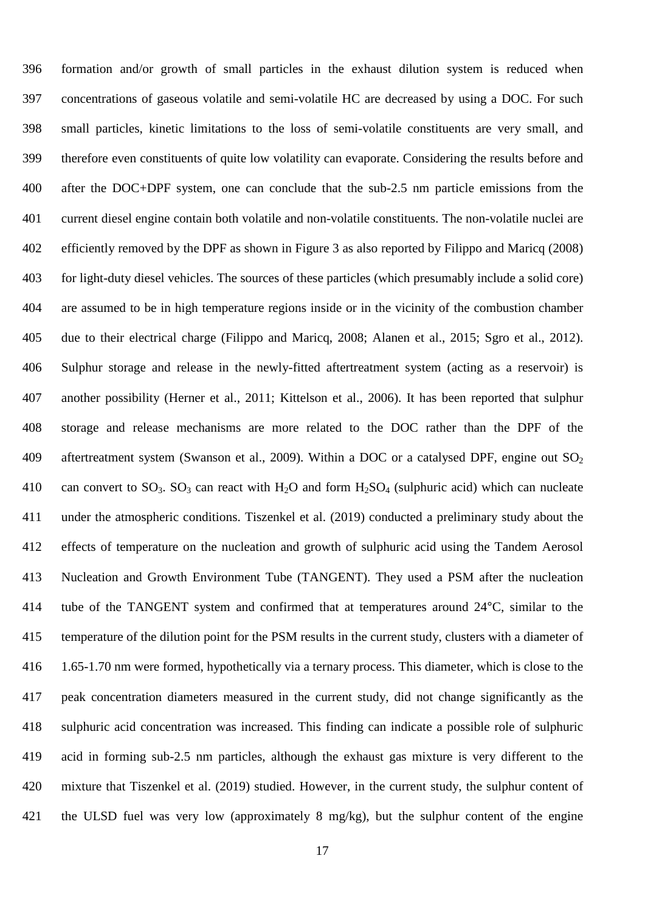formation and/or growth of small particles in the exhaust dilution system is reduced when concentrations of gaseous volatile and semi-volatile HC are decreased by using a DOC. For such small particles, kinetic limitations to the loss of semi-volatile constituents are very small, and therefore even constituents of quite low volatility can evaporate. Considering the results before and after the DOC+DPF system, one can conclude that the sub-2.5 nm particle emissions from the current diesel engine contain both volatile and non-volatile constituents. The non-volatile nuclei are efficiently removed by the DPF as shown in Figure 3 as also reported by Filippo and Maricq (2008) for light-duty diesel vehicles. The sources of these particles (which presumably include a solid core) are assumed to be in high temperature regions inside or in the vicinity of the combustion chamber due to their electrical charge (Filippo and Maricq, 2008; Alanen et al., 2015; Sgro et al., 2012). Sulphur storage and release in the newly-fitted aftertreatment system (acting as a reservoir) is another possibility (Herner et al., 2011; Kittelson et al., 2006). It has been reported that sulphur storage and release mechanisms are more related to the DOC rather than the DPF of the 409 aftertreatment system (Swanson et al., 2009). Within a DOC or a catalysed DPF, engine out  $SO_2$ 410 can convert to  $SO_3$ .  $SO_3$  can react with  $H_2O$  and form  $H_2SO_4$  (sulphuric acid) which can nucleate under the atmospheric conditions. Tiszenkel et al. (2019) conducted a preliminary study about the effects of temperature on the nucleation and growth of sulphuric acid using the Tandem Aerosol Nucleation and Growth Environment Tube (TANGENT). They used a PSM after the nucleation tube of the TANGENT system and confirmed that at temperatures around 24°C, similar to the temperature of the dilution point for the PSM results in the current study, clusters with a diameter of 1.65-1.70 nm were formed, hypothetically via a ternary process. This diameter, which is close to the peak concentration diameters measured in the current study, did not change significantly as the sulphuric acid concentration was increased. This finding can indicate a possible role of sulphuric acid in forming sub-2.5 nm particles, although the exhaust gas mixture is very different to the mixture that Tiszenkel et al. (2019) studied. However, in the current study, the sulphur content of the ULSD fuel was very low (approximately 8 mg/kg), but the sulphur content of the engine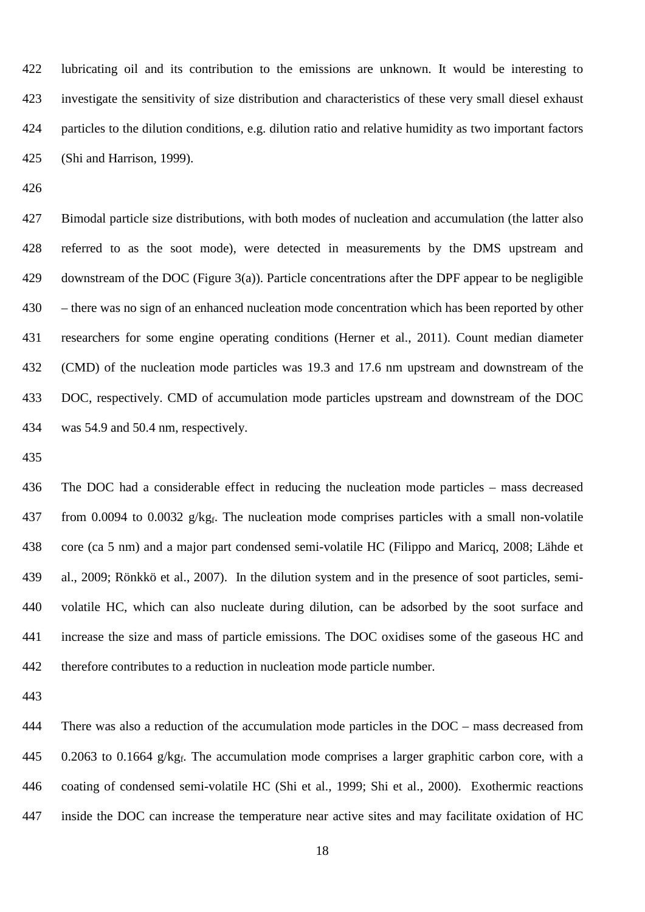lubricating oil and its contribution to the emissions are unknown. It would be interesting to investigate the sensitivity of size distribution and characteristics of these very small diesel exhaust particles to the dilution conditions, e.g. dilution ratio and relative humidity as two important factors (Shi and Harrison, 1999).

 Bimodal particle size distributions, with both modes of nucleation and accumulation (the latter also referred to as the soot mode), were detected in measurements by the DMS upstream and downstream of the DOC (Figure 3(a)). Particle concentrations after the DPF appear to be negligible – there was no sign of an enhanced nucleation mode concentration which has been reported by other researchers for some engine operating conditions (Herner et al., 2011). Count median diameter (CMD) of the nucleation mode particles was 19.3 and 17.6 nm upstream and downstream of the DOC, respectively. CMD of accumulation mode particles upstream and downstream of the DOC was 54.9 and 50.4 nm, respectively.

 The DOC had a considerable effect in reducing the nucleation mode particles – mass decreased 437 from 0.0094 to 0.0032  $g/kg_f$ . The nucleation mode comprises particles with a small non-volatile core (ca 5 nm) and a major part condensed semi-volatile HC (Filippo and Maricq, 2008; Lähde et al., 2009; Rönkkö et al., 2007). In the dilution system and in the presence of soot particles, semi- volatile HC, which can also nucleate during dilution, can be adsorbed by the soot surface and increase the size and mass of particle emissions. The DOC oxidises some of the gaseous HC and therefore contributes to a reduction in nucleation mode particle number.

 There was also a reduction of the accumulation mode particles in the DOC – mass decreased from 445 . 0.2063 to 0.1664  $g/kg_f$ . The accumulation mode comprises a larger graphitic carbon core, with a coating of condensed semi-volatile HC (Shi et al., 1999; Shi et al., 2000). Exothermic reactions inside the DOC can increase the temperature near active sites and may facilitate oxidation of HC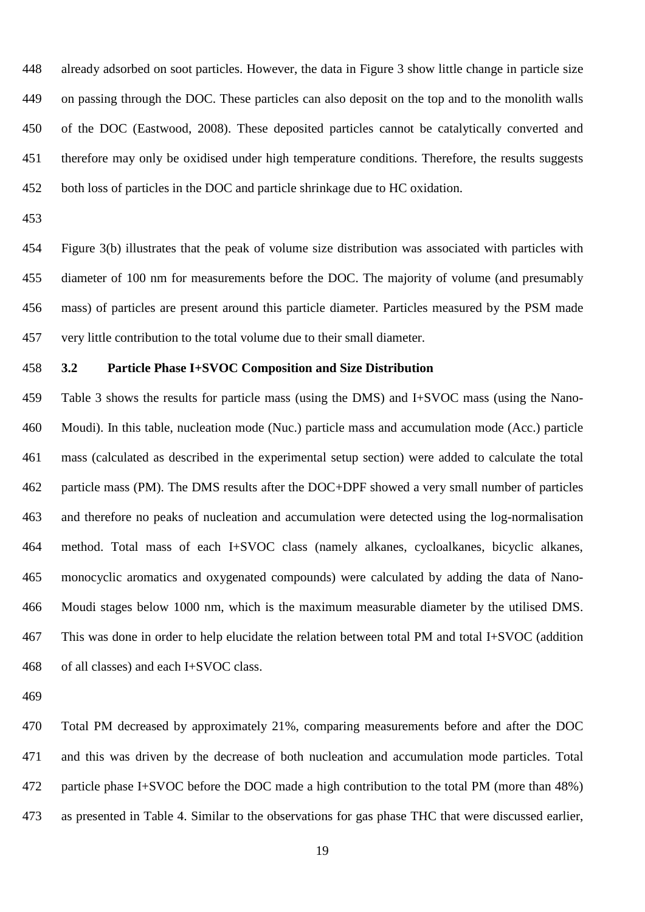already adsorbed on soot particles. However, the data in Figure 3 show little change in particle size on passing through the DOC. These particles can also deposit on the top and to the monolith walls of the DOC (Eastwood, 2008). These deposited particles cannot be catalytically converted and therefore may only be oxidised under high temperature conditions. Therefore, the results suggests both loss of particles in the DOC and particle shrinkage due to HC oxidation.

 Figure 3(b) illustrates that the peak of volume size distribution was associated with particles with diameter of 100 nm for measurements before the DOC. The majority of volume (and presumably mass) of particles are present around this particle diameter. Particles measured by the PSM made very little contribution to the total volume due to their small diameter.

# **3.2 Particle Phase I+SVOC Composition and Size Distribution**

 Table 3 shows the results for particle mass (using the DMS) and I+SVOC mass (using the Nano- Moudi). In this table, nucleation mode (Nuc.) particle mass and accumulation mode (Acc.) particle mass (calculated as described in the experimental setup section) were added to calculate the total particle mass (PM). The DMS results after the DOC+DPF showed a very small number of particles and therefore no peaks of nucleation and accumulation were detected using the log-normalisation method. Total mass of each I+SVOC class (namely alkanes, cycloalkanes, bicyclic alkanes, monocyclic aromatics and oxygenated compounds) were calculated by adding the data of Nano- Moudi stages below 1000 nm, which is the maximum measurable diameter by the utilised DMS. This was done in order to help elucidate the relation between total PM and total I+SVOC (addition of all classes) and each I+SVOC class.

 Total PM decreased by approximately 21%, comparing measurements before and after the DOC and this was driven by the decrease of both nucleation and accumulation mode particles. Total particle phase I+SVOC before the DOC made a high contribution to the total PM (more than 48%) as presented in Table 4. Similar to the observations for gas phase THC that were discussed earlier,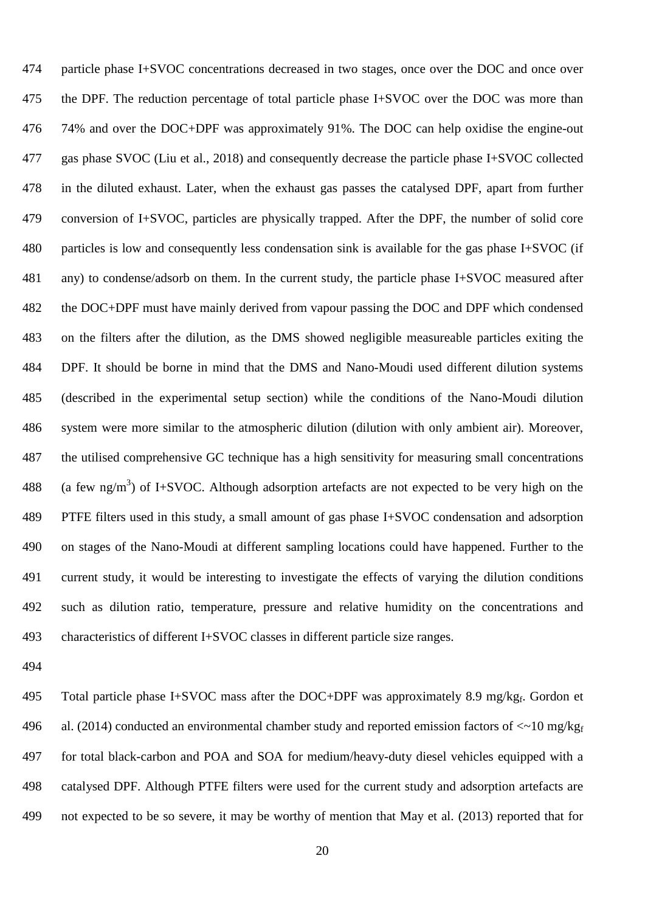particle phase I+SVOC concentrations decreased in two stages, once over the DOC and once over the DPF. The reduction percentage of total particle phase I+SVOC over the DOC was more than 74% and over the DOC+DPF was approximately 91%. The DOC can help oxidise the engine-out gas phase SVOC (Liu et al., 2018) and consequently decrease the particle phase I+SVOC collected in the diluted exhaust. Later, when the exhaust gas passes the catalysed DPF, apart from further conversion of I+SVOC, particles are physically trapped. After the DPF, the number of solid core particles is low and consequently less condensation sink is available for the gas phase I+SVOC (if any) to condense/adsorb on them. In the current study, the particle phase I+SVOC measured after the DOC+DPF must have mainly derived from vapour passing the DOC and DPF which condensed on the filters after the dilution, as the DMS showed negligible measureable particles exiting the DPF. It should be borne in mind that the DMS and Nano-Moudi used different dilution systems (described in the experimental setup section) while the conditions of the Nano-Moudi dilution system were more similar to the atmospheric dilution (dilution with only ambient air). Moreover, the utilised comprehensive GC technique has a high sensitivity for measuring small concentrations 488 (a few ng/m<sup>3</sup>) of I+SVOC. Although adsorption artefacts are not expected to be very high on the PTFE filters used in this study, a small amount of gas phase I+SVOC condensation and adsorption on stages of the Nano-Moudi at different sampling locations could have happened. Further to the current study, it would be interesting to investigate the effects of varying the dilution conditions such as dilution ratio, temperature, pressure and relative humidity on the concentrations and characteristics of different I+SVOC classes in different particle size ranges.

495 Total particle phase I+SVOC mass after the DOC+DPF was approximately 8.9 mg/kg $_f$ . Gordon et 496 al. (2014) conducted an environmental chamber study and reported emission factors of  $\langle \sim 10 \text{ mg/kg}_{\text{f}}$  for total black-carbon and POA and SOA for medium/heavy-duty diesel vehicles equipped with a catalysed DPF. Although PTFE filters were used for the current study and adsorption artefacts are not expected to be so severe, it may be worthy of mention that May et al. (2013) reported that for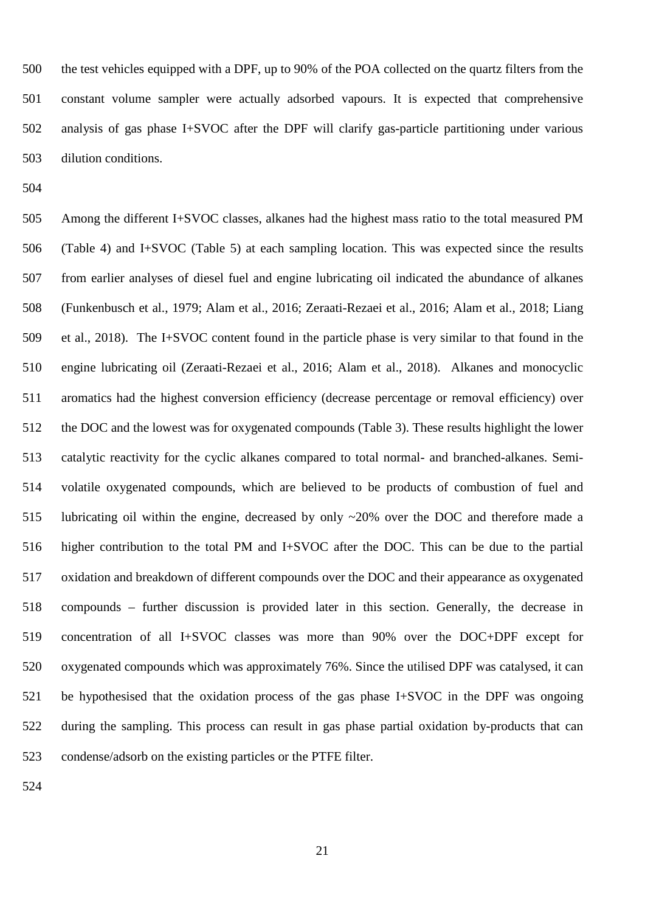the test vehicles equipped with a DPF, up to 90% of the POA collected on the quartz filters from the constant volume sampler were actually adsorbed vapours. It is expected that comprehensive analysis of gas phase I+SVOC after the DPF will clarify gas-particle partitioning under various dilution conditions.

 Among the different I+SVOC classes, alkanes had the highest mass ratio to the total measured PM (Table 4) and I+SVOC (Table 5) at each sampling location. This was expected since the results from earlier analyses of diesel fuel and engine lubricating oil indicated the abundance of alkanes (Funkenbusch et al., 1979; Alam et al., 2016; Zeraati-Rezaei et al., 2016; Alam et al., 2018; Liang et al., 2018). The I+SVOC content found in the particle phase is very similar to that found in the engine lubricating oil (Zeraati-Rezaei et al., 2016; Alam et al., 2018). Alkanes and monocyclic aromatics had the highest conversion efficiency (decrease percentage or removal efficiency) over the DOC and the lowest was for oxygenated compounds (Table 3). These results highlight the lower catalytic reactivity for the cyclic alkanes compared to total normal- and branched-alkanes. Semi- volatile oxygenated compounds, which are believed to be products of combustion of fuel and lubricating oil within the engine, decreased by only ~20% over the DOC and therefore made a higher contribution to the total PM and I+SVOC after the DOC. This can be due to the partial oxidation and breakdown of different compounds over the DOC and their appearance as oxygenated compounds – further discussion is provided later in this section. Generally, the decrease in concentration of all I+SVOC classes was more than 90% over the DOC+DPF except for oxygenated compounds which was approximately 76%. Since the utilised DPF was catalysed, it can be hypothesised that the oxidation process of the gas phase I+SVOC in the DPF was ongoing during the sampling. This process can result in gas phase partial oxidation by-products that can condense/adsorb on the existing particles or the PTFE filter.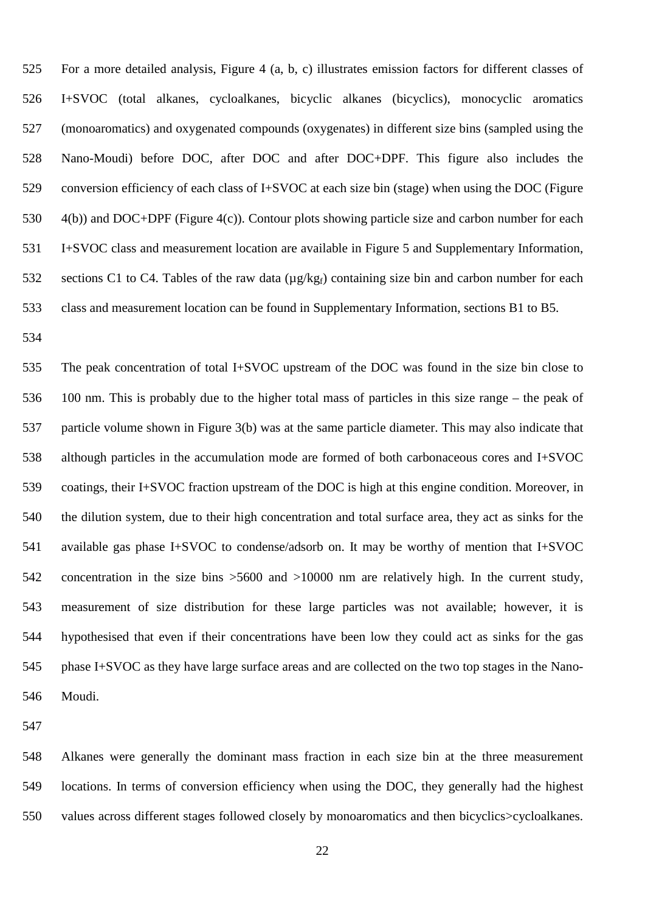For a more detailed analysis, Figure 4 (a, b, c) illustrates emission factors for different classes of I+SVOC (total alkanes, cycloalkanes, bicyclic alkanes (bicyclics), monocyclic aromatics (monoaromatics) and oxygenated compounds (oxygenates) in different size bins (sampled using the Nano-Moudi) before DOC, after DOC and after DOC+DPF. This figure also includes the conversion efficiency of each class of I+SVOC at each size bin (stage) when using the DOC (Figure 4(b)) and DOC+DPF (Figure 4(c)). Contour plots showing particle size and carbon number for each I+SVOC class and measurement location are available in Figure 5 and Supplementary Information, 532 sections C1 to C4. Tables of the raw data ( $\mu$ g/kg<sub>f</sub>) containing size bin and carbon number for each class and measurement location can be found in Supplementary Information, sections B1 to B5.

 The peak concentration of total I+SVOC upstream of the DOC was found in the size bin close to 100 nm. This is probably due to the higher total mass of particles in this size range – the peak of particle volume shown in Figure 3(b) was at the same particle diameter. This may also indicate that although particles in the accumulation mode are formed of both carbonaceous cores and I+SVOC coatings, their I+SVOC fraction upstream of the DOC is high at this engine condition. Moreover, in the dilution system, due to their high concentration and total surface area, they act as sinks for the available gas phase I+SVOC to condense/adsorb on. It may be worthy of mention that I+SVOC concentration in the size bins >5600 and >10000 nm are relatively high. In the current study, measurement of size distribution for these large particles was not available; however, it is hypothesised that even if their concentrations have been low they could act as sinks for the gas phase I+SVOC as they have large surface areas and are collected on the two top stages in the Nano-Moudi.

 Alkanes were generally the dominant mass fraction in each size bin at the three measurement locations. In terms of conversion efficiency when using the DOC, they generally had the highest values across different stages followed closely by monoaromatics and then bicyclics>cycloalkanes.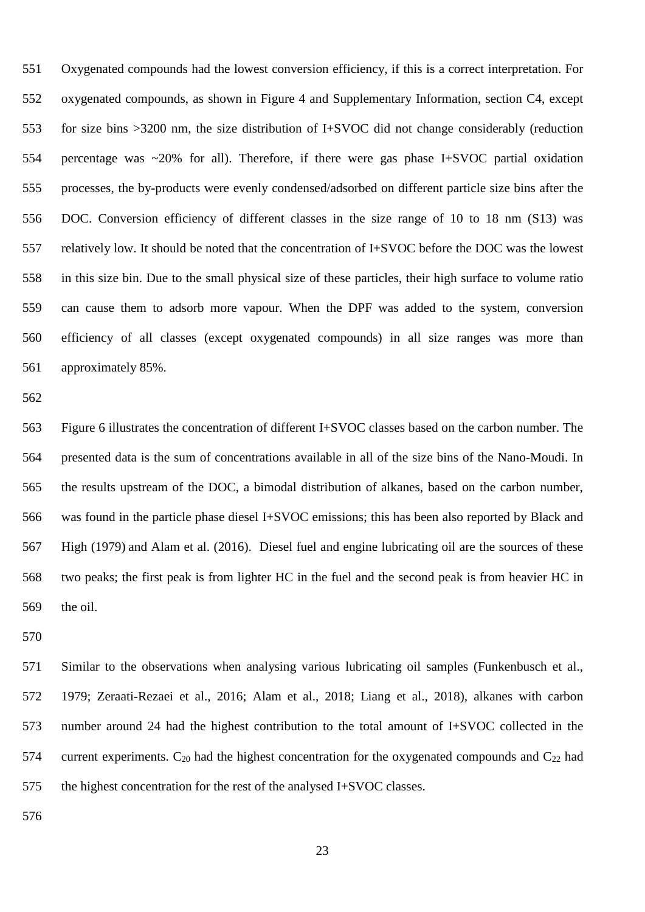Oxygenated compounds had the lowest conversion efficiency, if this is a correct interpretation. For oxygenated compounds, as shown in Figure 4 and Supplementary Information, section C4, except for size bins >3200 nm, the size distribution of I+SVOC did not change considerably (reduction percentage was ~20% for all). Therefore, if there were gas phase I+SVOC partial oxidation processes, the by-products were evenly condensed/adsorbed on different particle size bins after the DOC. Conversion efficiency of different classes in the size range of 10 to 18 nm (S13) was relatively low. It should be noted that the concentration of I+SVOC before the DOC was the lowest in this size bin. Due to the small physical size of these particles, their high surface to volume ratio can cause them to adsorb more vapour. When the DPF was added to the system, conversion efficiency of all classes (except oxygenated compounds) in all size ranges was more than approximately 85%.

 Figure 6 illustrates the concentration of different I+SVOC classes based on the carbon number. The presented data is the sum of concentrations available in all of the size bins of the Nano-Moudi. In the results upstream of the DOC, a bimodal distribution of alkanes, based on the carbon number, was found in the particle phase diesel I+SVOC emissions; this has been also reported by Black and High (1979) and Alam et al. (2016). Diesel fuel and engine lubricating oil are the sources of these two peaks; the first peak is from lighter HC in the fuel and the second peak is from heavier HC in the oil.

 Similar to the observations when analysing various lubricating oil samples (Funkenbusch et al., 1979; Zeraati-Rezaei et al., 2016; Alam et al., 2018; Liang et al., 2018), alkanes with carbon number around 24 had the highest contribution to the total amount of I+SVOC collected in the 574 current experiments.  $C_{20}$  had the highest concentration for the oxygenated compounds and  $C_{22}$  had the highest concentration for the rest of the analysed I+SVOC classes.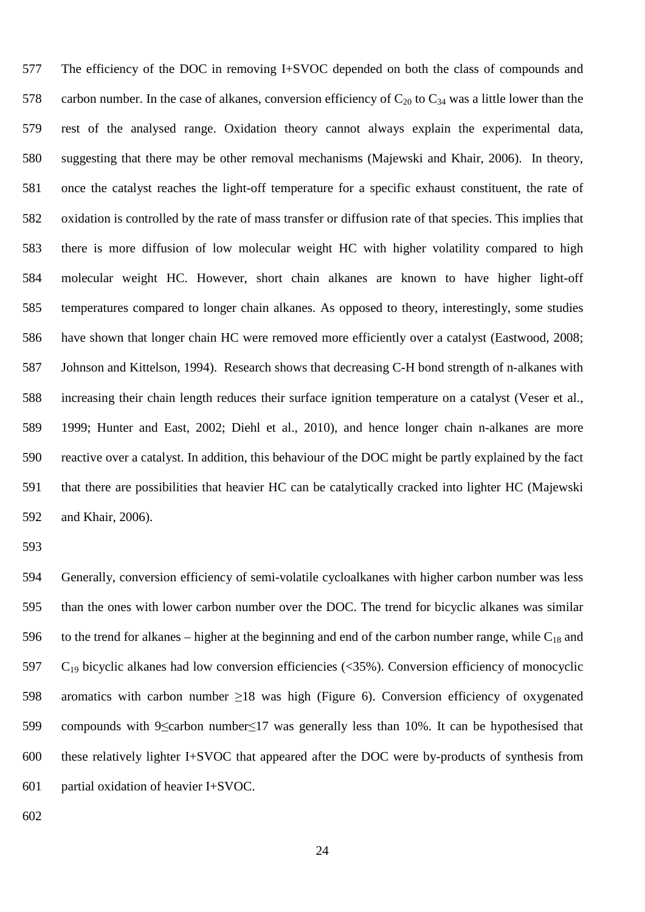The efficiency of the DOC in removing I+SVOC depended on both the class of compounds and 578 carbon number. In the case of alkanes, conversion efficiency of  $C_{20}$  to  $C_{34}$  was a little lower than the rest of the analysed range. Oxidation theory cannot always explain the experimental data, suggesting that there may be other removal mechanisms (Majewski and Khair, 2006). In theory, once the catalyst reaches the light-off temperature for a specific exhaust constituent, the rate of oxidation is controlled by the rate of mass transfer or diffusion rate of that species. This implies that there is more diffusion of low molecular weight HC with higher volatility compared to high molecular weight HC. However, short chain alkanes are known to have higher light-off temperatures compared to longer chain alkanes. As opposed to theory, interestingly, some studies have shown that longer chain HC were removed more efficiently over a catalyst (Eastwood, 2008; Johnson and Kittelson, 1994). Research shows that decreasing C-H bond strength of n-alkanes with increasing their chain length reduces their surface ignition temperature on a catalyst (Veser et al., 1999; Hunter and East, 2002; Diehl et al., 2010), and hence longer chain n-alkanes are more reactive over a catalyst. In addition, this behaviour of the DOC might be partly explained by the fact that there are possibilities that heavier HC can be catalytically cracked into lighter HC (Majewski and Khair, 2006).

 Generally, conversion efficiency of semi-volatile cycloalkanes with higher carbon number was less than the ones with lower carbon number over the DOC. The trend for bicyclic alkanes was similar 596 to the trend for alkanes – higher at the beginning and end of the carbon number range, while  $C_{18}$  and  $C_{19}$  bicyclic alkanes had low conversion efficiencies (<35%). Conversion efficiency of monocyclic aromatics with carbon number ≥18 was high (Figure 6). Conversion efficiency of oxygenated compounds with 9≤carbon number≤17 was generally less than 10%. It can be hypothesised that these relatively lighter I+SVOC that appeared after the DOC were by-products of synthesis from partial oxidation of heavier I+SVOC.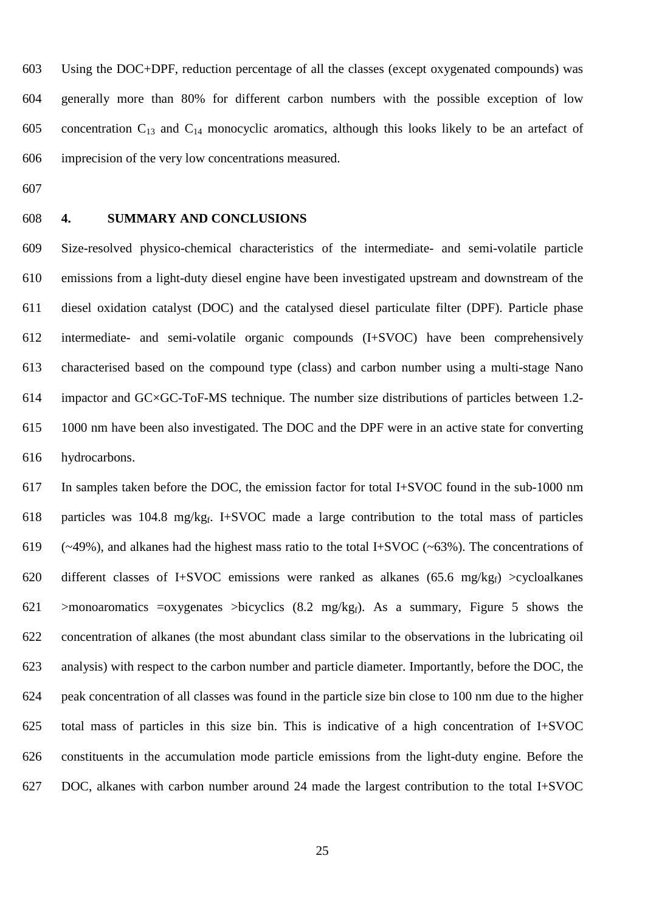Using the DOC+DPF, reduction percentage of all the classes (except oxygenated compounds) was generally more than 80% for different carbon numbers with the possible exception of low 605 concentration  $C_{13}$  and  $C_{14}$  monocyclic aromatics, although this looks likely to be an artefact of imprecision of the very low concentrations measured.

- 
- 

### **4. SUMMARY AND CONCLUSIONS**

 Size-resolved physico-chemical characteristics of the intermediate- and semi-volatile particle emissions from a light-duty diesel engine have been investigated upstream and downstream of the diesel oxidation catalyst (DOC) and the catalysed diesel particulate filter (DPF). Particle phase intermediate- and semi-volatile organic compounds (I+SVOC) have been comprehensively characterised based on the compound type (class) and carbon number using a multi-stage Nano impactor and GC×GC-ToF-MS technique. The number size distributions of particles between 1.2- 1000 nm have been also investigated. The DOC and the DPF were in an active state for converting hydrocarbons.

 In samples taken before the DOC, the emission factor for total I+SVOC found in the sub-1000 nm 618 particles was 104.8 mg/kg<sub>f</sub>. I+SVOC made a large contribution to the total mass of particles (~49%), and alkanes had the highest mass ratio to the total I+SVOC (~63%). The concentrations of 620 different classes of I+SVOC emissions were ranked as alkanes (65.6 mg/kgf) >cycloalkanes 621 >monoaromatics =oxygenates >bicyclics (8.2 mg/kg<sub>f</sub>). As a summary, Figure 5 shows the concentration of alkanes (the most abundant class similar to the observations in the lubricating oil analysis) with respect to the carbon number and particle diameter. Importantly, before the DOC, the peak concentration of all classes was found in the particle size bin close to 100 nm due to the higher total mass of particles in this size bin. This is indicative of a high concentration of I+SVOC constituents in the accumulation mode particle emissions from the light-duty engine. Before the DOC, alkanes with carbon number around 24 made the largest contribution to the total I+SVOC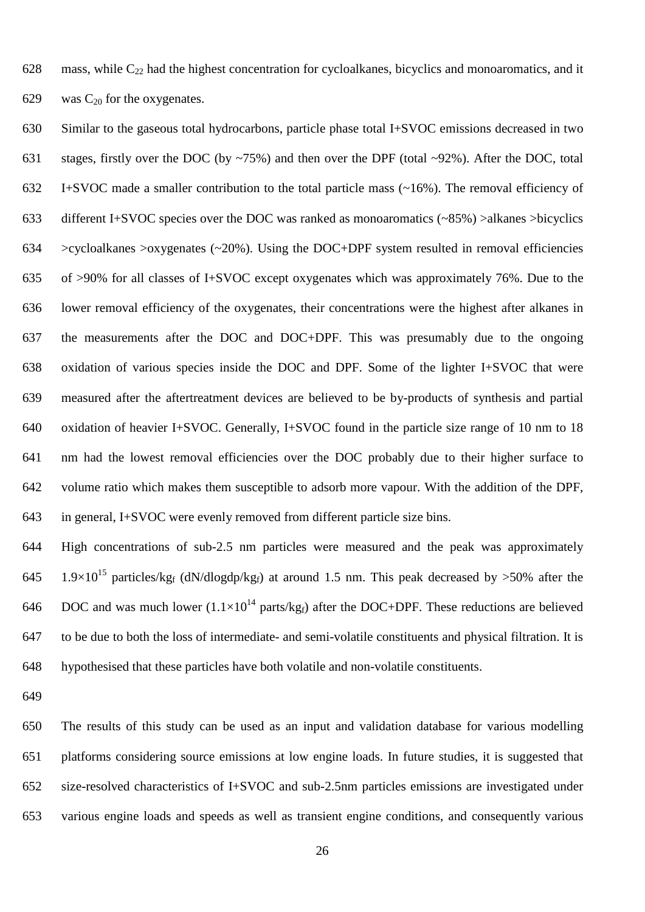628 mass, while  $C_{22}$  had the highest concentration for cycloalkanes, bicyclics and monoaromatics, and it 629 was  $C_{20}$  for the oxygenates.

 Similar to the gaseous total hydrocarbons, particle phase total I+SVOC emissions decreased in two 631 stages, firstly over the DOC (by  $\sim$ 75%) and then over the DPF (total  $\sim$ 92%). After the DOC, total I+SVOC made a smaller contribution to the total particle mass (~16%). The removal efficiency of different I+SVOC species over the DOC was ranked as monoaromatics (~85%) >alkanes >bicyclics 634 >cycloalkanes >oxygenates  $(\sim 20\%)$ . Using the DOC+DPF system resulted in removal efficiencies of >90% for all classes of I+SVOC except oxygenates which was approximately 76%. Due to the lower removal efficiency of the oxygenates, their concentrations were the highest after alkanes in the measurements after the DOC and DOC+DPF. This was presumably due to the ongoing oxidation of various species inside the DOC and DPF. Some of the lighter I+SVOC that were measured after the aftertreatment devices are believed to be by-products of synthesis and partial oxidation of heavier I+SVOC. Generally, I+SVOC found in the particle size range of 10 nm to 18 nm had the lowest removal efficiencies over the DOC probably due to their higher surface to volume ratio which makes them susceptible to adsorb more vapour. With the addition of the DPF, in general, I+SVOC were evenly removed from different particle size bins.

 High concentrations of sub-2.5 nm particles were measured and the peak was approximately 645 1.9×10<sup>15</sup> particles/kg<sub>f</sub> (dN/dlogdp/kg<sub>f</sub>) at around 1.5 nm. This peak decreased by >50% after the 646 DOC and was much lower  $(1.1 \times 10^{14} \text{ parts/kg}_f)$  after the DOC+DPF. These reductions are believed to be due to both the loss of intermediate- and semi-volatile constituents and physical filtration. It is hypothesised that these particles have both volatile and non-volatile constituents.

 The results of this study can be used as an input and validation database for various modelling platforms considering source emissions at low engine loads. In future studies, it is suggested that size-resolved characteristics of I+SVOC and sub-2.5nm particles emissions are investigated under various engine loads and speeds as well as transient engine conditions, and consequently various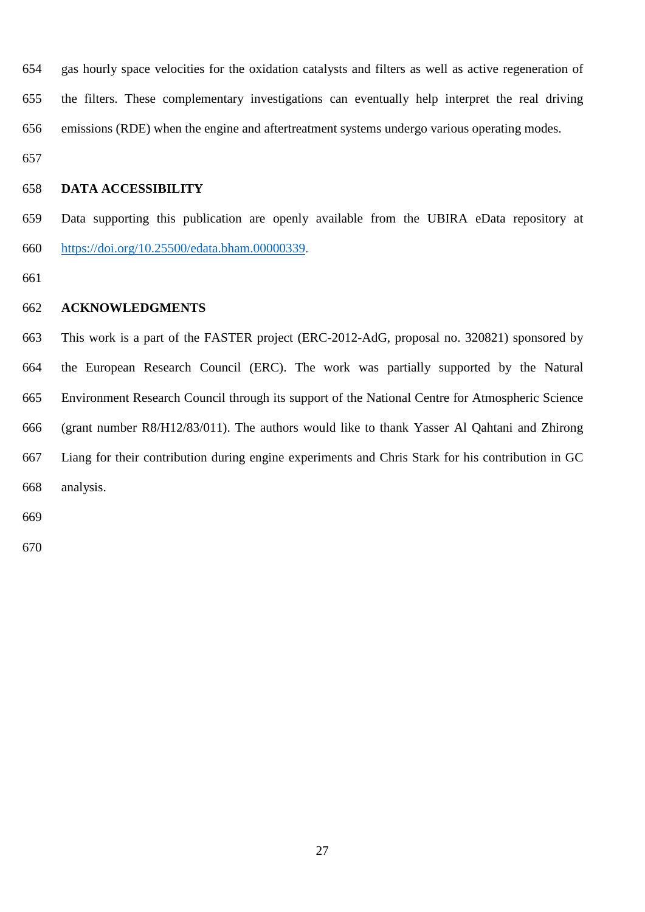gas hourly space velocities for the oxidation catalysts and filters as well as active regeneration of the filters. These complementary investigations can eventually help interpret the real driving emissions (RDE) when the engine and aftertreatment systems undergo various operating modes.

#### **DATA ACCESSIBILITY**

 Data supporting this publication are openly available from the UBIRA eData repository at [https://doi.org/10.25500/edata.bham.00000339.](https://doi.org/10.25500/edata.bham.00000339)

#### **ACKNOWLEDGMENTS**

 This work is a part of the FASTER project (ERC-2012-AdG, proposal no. 320821) sponsored by the European Research Council (ERC). The work was partially supported by the Natural Environment Research Council through its support of the National Centre for Atmospheric Science (grant number R8/H12/83/011). The authors would like to thank Yasser Al Qahtani and Zhirong Liang for their contribution during engine experiments and Chris Stark for his contribution in GC analysis.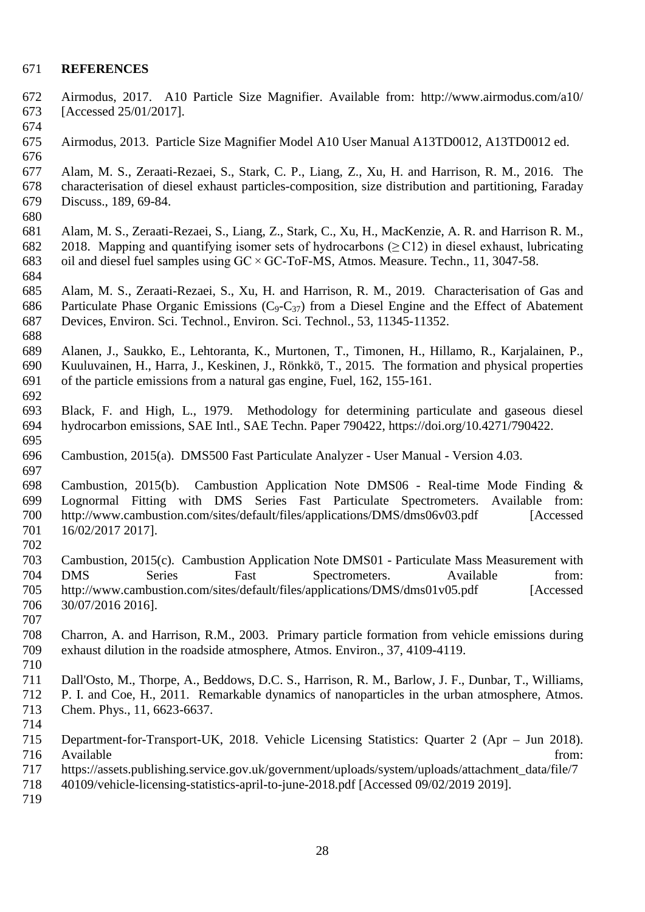#### **REFERENCES**

- Airmodus, 2017. A10 Particle Size Magnifier. Available from: http://www.airmodus.com/a10/ [Accessed 25/01/2017].
- 

Airmodus, 2013. Particle Size Magnifier Model A10 User Manual A13TD0012, A13TD0012 ed.

 Alam, M. S., Zeraati-Rezaei, S., Stark, C. P., Liang, Z., Xu, H. and Harrison, R. M., 2016. The characterisation of diesel exhaust particles-composition, size distribution and partitioning, Faraday Discuss., 189, 69-84.

- Alam, M. S., Zeraati-Rezaei, S., Liang, Z., Stark, C., Xu, H., MacKenzie, A. R. and Harrison R. M., 2018. Mapping and quantifying isomer sets of hydrocarbons (≥ C12) in diesel exhaust, lubricating oil and diesel fuel samples using GC × GC-ToF-MS, Atmos. Measure. Techn., 11, 3047-58.
- Alam, M. S., Zeraati-Rezaei, S., Xu, H. and Harrison, R. M., 2019. Characterisation of Gas and 686 Particulate Phase Organic Emissions ( $C_9 - C_{37}$ ) from a Diesel Engine and the Effect of Abatement Devices, Environ. Sci. Technol., Environ. Sci. Technol., 53, 11345-11352.
- Alanen, J., Saukko, E., Lehtoranta, K., Murtonen, T., Timonen, H., Hillamo, R., Karjalainen, P., Kuuluvainen, H., Harra, J., Keskinen, J., Rönkkö, T., 2015. The formation and physical properties of the particle emissions from a natural gas engine, Fuel, 162, 155-161.
- Black, F. and High, L., 1979. Methodology for determining particulate and gaseous diesel hydrocarbon emissions, SAE Intl., SAE Techn. Paper 790422, [https://doi.org/10.4271/790422.](https://doi.org/10.4271/790422)
- Cambustion, 2015(a). DMS500 Fast Particulate Analyzer User Manual Version 4.03.
- Cambustion, 2015(b). Cambustion Application Note DMS06 Real-time Mode Finding & Lognormal Fitting with DMS Series Fast Particulate Spectrometers. Available from: 700 http://www.cambustion.com/sites/default/files/applications/DMS/dms06v03.pdf 16/02/2017 2017].
- Cambustion, 2015(c). Cambustion Application Note DMS01 Particulate Mass Measurement with DMS Series Fast Spectrometers. Available from: http://www.cambustion.com/sites/default/files/applications/DMS/dms01v05.pdf [Accessed 30/07/2016 2016].
- 
- Charron, A. and Harrison, R.M., 2003. Primary particle formation from vehicle emissions during exhaust dilution in the roadside atmosphere, Atmos. Environ., 37, 4109-4119.
- 
- Dall'Osto, M., Thorpe, A., Beddows, D.C. S., Harrison, R. M., Barlow, J. F., Dunbar, T., Williams,
- P. I. and Coe, H., 2011. Remarkable dynamics of nanoparticles in the urban atmosphere, Atmos.
- Chem. Phys., 11, 6623-6637.
- 

- https://assets.publishing.service.gov.uk/government/uploads/system/uploads/attachment\_data/file/7
- 40109/vehicle-licensing-statistics-april-to-june-2018.pdf [Accessed 09/02/2019 2019].
- 

 Department-for-Transport-UK, 2018. Vehicle Licensing Statistics: Quarter 2 (Apr – Jun 2018). Available from: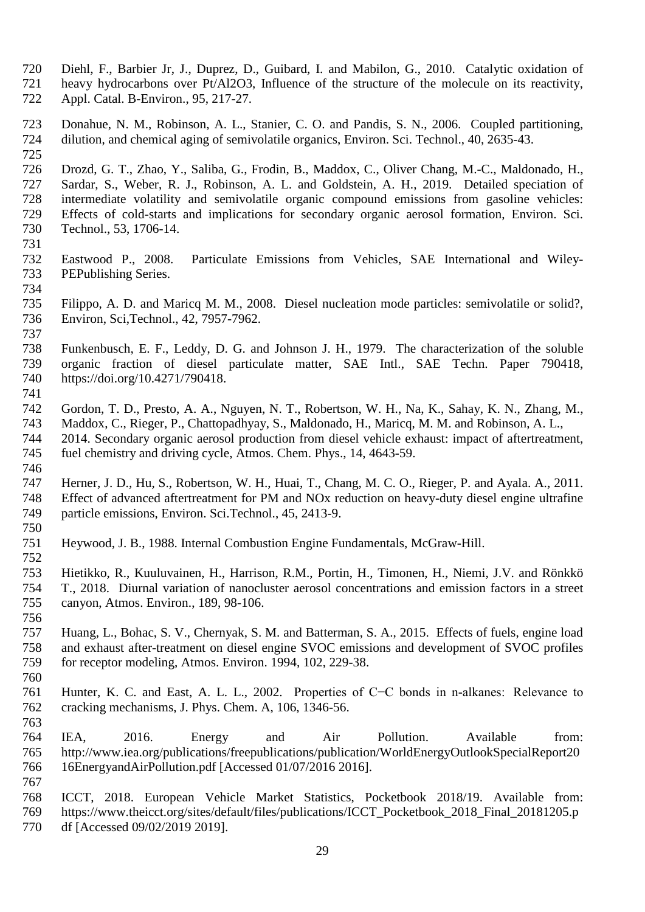- Diehl, F., Barbier Jr, J., Duprez, D., Guibard, I. and Mabilon, G., 2010. Catalytic oxidation of heavy hydrocarbons over Pt/Al2O3, Influence of the structure of the molecule on its reactivity, Appl. Catal. B-Environ., 95, 217-27.
- Donahue, N. M., Robinson, A. L., Stanier, C. O. and Pandis, S. N., 2006. Coupled partitioning, dilution, and chemical aging of semivolatile organics, Environ. Sci. Technol., 40, 2635-43.
- 

 Drozd, G. T., Zhao, Y., Saliba, G., Frodin, B., Maddox, C., Oliver Chang, M.-C., Maldonado, H., Sardar, S., Weber, R. J., Robinson, A. L. and Goldstein, A. H., 2019. Detailed speciation of intermediate volatility and semivolatile organic compound emissions from gasoline vehicles: Effects of cold-starts and implications for secondary organic aerosol formation, Environ. Sci. Technol., 53, 1706-14.

- Eastwood P., 2008. Particulate Emissions from Vehicles, SAE International and Wiley- PEPublishing Series.
- Filippo, A. D. and Maricq M. M., 2008. Diesel nucleation mode particles: semivolatile or solid?, Environ, Sci,Technol., 42, 7957-7962.
- Funkenbusch, E. F., Leddy, D. G. and Johnson J. H., 1979. The characterization of the soluble organic fraction of diesel particulate matter, SAE Intl., SAE Techn. Paper 790418, [https://doi.org/10.4271/790418.](https://doi.org/10.4271/790418)
- Gordon, T. D., Presto, A. A., Nguyen, N. T., Robertson, W. H., Na, K., Sahay, K. N., Zhang, M., Maddox, C., Rieger, P., Chattopadhyay, S., Maldonado, H., Maricq, M. M. and Robinson, A. L., 2014. Secondary organic aerosol production from diesel vehicle exhaust: impact of aftertreatment, fuel chemistry and driving cycle, Atmos. Chem. Phys., 14, 4643-59.
- Herner, J. D., Hu, S., Robertson, W. H., Huai, T., Chang, M. C. O., Rieger, P. and Ayala. A., 2011. Effect of advanced aftertreatment for PM and NOx reduction on heavy-duty diesel engine ultrafine particle emissions, Environ. Sci.Technol., 45, 2413-9.
- Heywood, J. B., 1988. Internal Combustion Engine Fundamentals, McGraw-Hill.
- Hietikko, R., Kuuluvainen, H., Harrison, R.M., Portin, H., Timonen, H., Niemi, J.V. and Rönkkö T., 2018. Diurnal variation of nanocluster aerosol concentrations and emission factors in a street canyon, Atmos. Environ., 189, 98-106.
- Huang, L., Bohac, S. V., Chernyak, S. M. and Batterman, S. A., 2015. Effects of fuels, engine load and exhaust after-treatment on diesel engine SVOC emissions and development of SVOC profiles for receptor modeling, Atmos. Environ. 1994, 102, 229-38.
- Hunter, K. C. and East, A. L. L., 2002. Properties of C−C bonds in n-alkanes: Relevance to cracking mechanisms, J. Phys. Chem. A, 106, 1346-56.
- IEA, 2016. Energy and Air Pollution. Available from: http://www.iea.org/publications/freepublications/publication/WorldEnergyOutlookSpecialReport20 16EnergyandAirPollution.pdf [Accessed 01/07/2016 2016].
- ICCT, 2018. European Vehicle Market Statistics, Pocketbook 2018/19. Available from: https://www.theicct.org/sites/default/files/publications/ICCT\_Pocketbook\_2018\_Final\_20181205.p df [Accessed 09/02/2019 2019].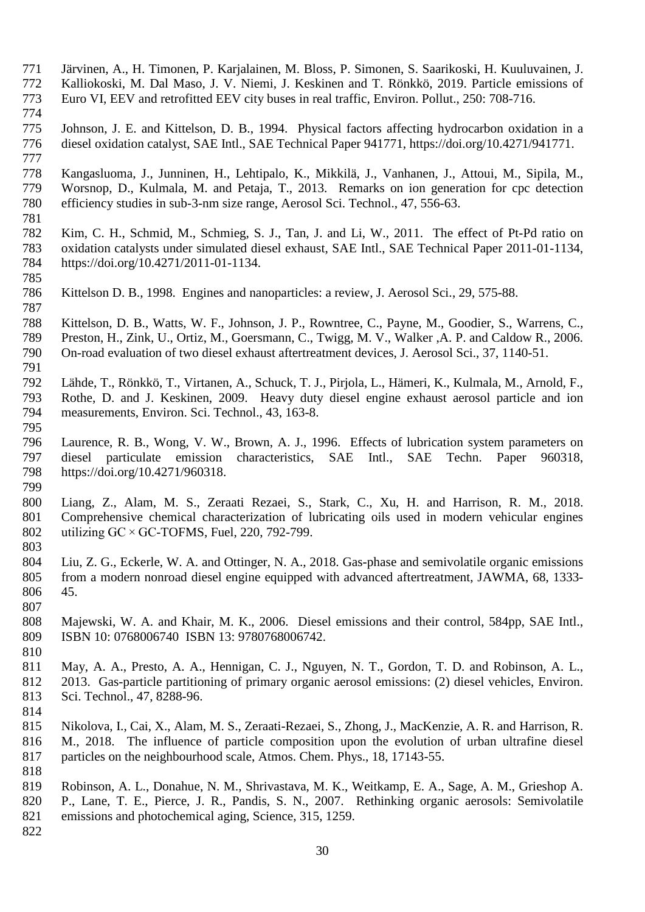- Järvinen, A., H. Timonen, P. Karjalainen, M. Bloss, P. Simonen, S. Saarikoski, H. Kuuluvainen, J.
- 772 Kalliokoski, M. Dal Maso, J. V. Niemi, J. Keskinen and T. Rönkkö, 2019. Particle emissions of Euro VI, EEV and retrofitted EEV city buses in real traffic, Environ. Pollut., 250: 708-716.
- Euro VI, EEV and retrofitted EEV city buses in real traffic, Environ. Pollut., 250: 708-716.
	- Johnson, J. E. and Kittelson, D. B., 1994. Physical factors affecting hydrocarbon oxidation in a diesel oxidation catalyst, SAE Intl., SAE Technical Paper 941771, [https://doi.org/10.4271/941771.](https://doi.org/10.4271/941771)
	- Kangasluoma, J., Junninen, H., Lehtipalo, K., Mikkilä, J., Vanhanen, J., Attoui, M., Sipila, M., Worsnop, D., Kulmala, M. and Petaja, T., 2013. Remarks on ion generation for cpc detection efficiency studies in sub-3-nm size range, Aerosol Sci. Technol., 47, 556-63.
	- Kim, C. H., Schmid, M., Schmieg, S. J., Tan, J. and Li, W., 2011. The effect of Pt-Pd ratio on oxidation catalysts under simulated diesel exhaust, SAE Intl., SAE Technical Paper 2011-01-1134, [https://doi.org/10.4271/2011-01-1134.](https://doi.org/10.4271/2011-01-1134)
	- Kittelson D. B., 1998. Engines and nanoparticles: a review, J. Aerosol Sci., 29, 575-88.
	- Kittelson, D. B., Watts, W. F., Johnson, J. P., Rowntree, C., Payne, M., Goodier, S., Warrens, C.,
	- 789 Preston, H., Zink, U., Ortiz, M., Goersmann, C., Twigg, M. V., Walker ,A. P. and Caldow R., 2006.<br>790 On-road evaluation of two diesel exhaust aftertreatment devices, J. Aerosol Sci., 37, 1140-51. On-road evaluation of two diesel exhaust aftertreatment devices, J. Aerosol Sci., 37, 1140-51.
	- Lähde, T., Rönkkö, T., Virtanen, A., Schuck, T. J., Pirjola, L., Hämeri, K., Kulmala, M., Arnold, F., Rothe, D. and J. Keskinen, 2009. Heavy duty diesel engine exhaust aerosol particle and ion measurements, Environ. Sci. Technol., 43, 163-8.
	- Laurence, R. B., Wong, V. W., Brown, A. J., 1996. Effects of lubrication system parameters on diesel particulate emission characteristics, SAE Intl., SAE Techn. Paper 960318, [https://doi.org/10.4271/960318.](https://doi.org/10.4271/960318)
	- Liang, Z., Alam, M. S., Zeraati Rezaei, S., Stark, C., Xu, H. and Harrison, R. M., 2018. Comprehensive chemical characterization of lubricating oils used in modern vehicular engines utilizing GC × GC-TOFMS, Fuel, 220, 792-799.
	- Liu, Z. G., Eckerle, W. A. and Ottinger, N. A., 2018. Gas-phase and semivolatile organic emissions from a modern nonroad diesel engine equipped with advanced aftertreatment, JAWMA, 68, 1333- 45.
	- Majewski, W. A. and Khair, M. K., 2006. Diesel emissions and their control, 584pp, SAE Intl., ISBN 10: 0768006740 ISBN 13: 9780768006742.
- May, A. A., Presto, A. A., Hennigan, C. J., Nguyen, N. T., Gordon, T. D. and Robinson, A. L., 2013. Gas-particle partitioning of primary organic aerosol emissions: (2) diesel vehicles, Environ. Sci. Technol., 47, 8288-96.
	-

- Nikolova, I., Cai, X., Alam, M. S., Zeraati-Rezaei, S., Zhong, J., MacKenzie, A. R. and Harrison, R. M., 2018. The influence of particle composition upon the evolution of urban ultrafine diesel particles on the neighbourhood scale, Atmos. Chem. Phys., 18, 17143-55.
- Robinson, A. L., Donahue, N. M., Shrivastava, M. K., Weitkamp, E. A., Sage, A. M., Grieshop A. P., Lane, T. E., Pierce, J. R., Pandis, S. N., 2007. Rethinking organic aerosols: Semivolatile emissions and photochemical aging, Science, 315, 1259.
-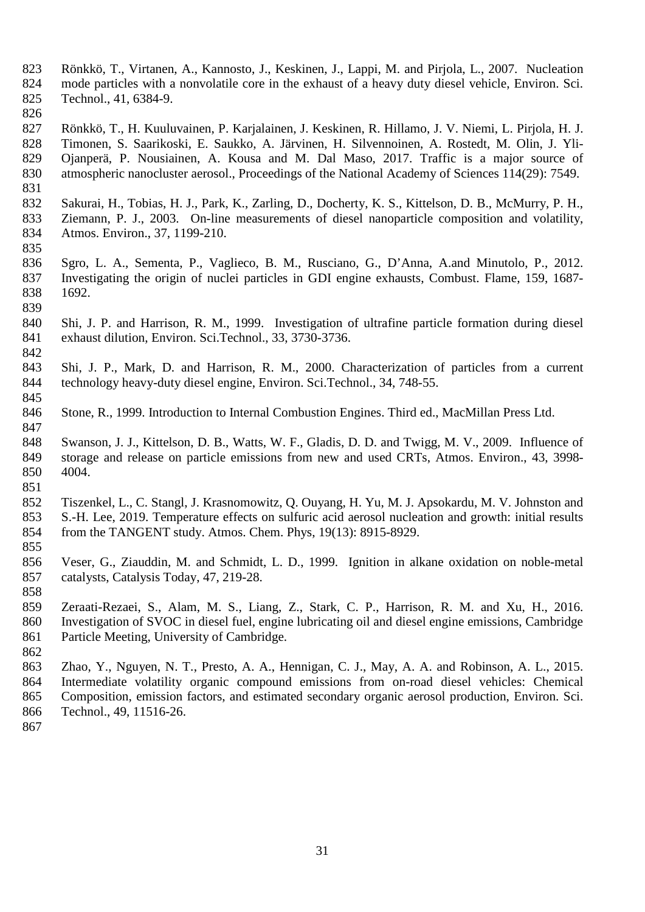- Rönkkö, T., Virtanen, A., Kannosto, J., Keskinen, J., Lappi, M. and Pirjola, L., 2007. Nucleation mode particles with a nonvolatile core in the exhaust of a heavy duty diesel vehicle, Environ. Sci. Technol., 41, 6384-9.
- 

 Rönkkö, T., H. Kuuluvainen, P. Karjalainen, J. Keskinen, R. Hillamo, J. V. Niemi, L. Pirjola, H. J. Timonen, S. Saarikoski, E. Saukko, A. Järvinen, H. Silvennoinen, A. Rostedt, M. Olin, J. Yli- Ojanperä, P. Nousiainen, A. Kousa and M. Dal Maso, 2017. Traffic is a major source of atmospheric nanocluster aerosol., Proceedings of the National Academy of Sciences 114(29): 7549.

- Sakurai, H., Tobias, H. J., Park, K., Zarling, D., Docherty, K. S., Kittelson, D. B., McMurry, P. H., Ziemann, P. J., 2003. On-line measurements of diesel nanoparticle composition and volatility, Atmos. Environ., 37, 1199-210.
- Sgro, L. A., Sementa, P., Vaglieco, B. M., Rusciano, G., D'Anna, A.and Minutolo, P., 2012. Investigating the origin of nuclei particles in GDI engine exhausts, Combust. Flame, 159, 1687- 1692.
- Shi, J. P. and Harrison, R. M., 1999. Investigation of ultrafine particle formation during diesel exhaust dilution, Environ. Sci.Technol., 33, 3730-3736.
- Shi, J. P., Mark, D. and Harrison, R. M., 2000. Characterization of particles from a current technology heavy-duty diesel engine, Environ. Sci.Technol., 34, 748-55.
- Stone, R., 1999. Introduction to Internal Combustion Engines. Third ed., MacMillan Press Ltd.
- Swanson, J. J., Kittelson, D. B., Watts, W. F., Gladis, D. D. and Twigg, M. V., 2009. Influence of storage and release on particle emissions from new and used CRTs, Atmos. Environ., 43, 3998- 4004.
- Tiszenkel, L., C. Stangl, J. Krasnomowitz, Q. Ouyang, H. Yu, M. J. Apsokardu, M. V. Johnston and S.-H. Lee, 2019. Temperature effects on sulfuric acid aerosol nucleation and growth: initial results from the TANGENT study. Atmos. Chem. Phys, 19(13): 8915-8929.
- Veser, G., Ziauddin, M. and Schmidt, L. D., 1999. Ignition in alkane oxidation on noble-metal catalysts, Catalysis Today, 47, 219-28.
- Zeraati-Rezaei, S., Alam, M. S., Liang, Z., Stark, C. P., Harrison, R. M. and Xu, H., 2016. Investigation of SVOC in diesel fuel, engine lubricating oil and diesel engine emissions, Cambridge Particle Meeting, University of Cambridge.
- 

- Zhao, Y., Nguyen, N. T., Presto, A. A., Hennigan, C. J., May, A. A. and Robinson, A. L., 2015. Intermediate volatility organic compound emissions from on-road diesel vehicles: Chemical Composition, emission factors, and estimated secondary organic aerosol production, Environ. Sci. Technol., 49, 11516-26.
-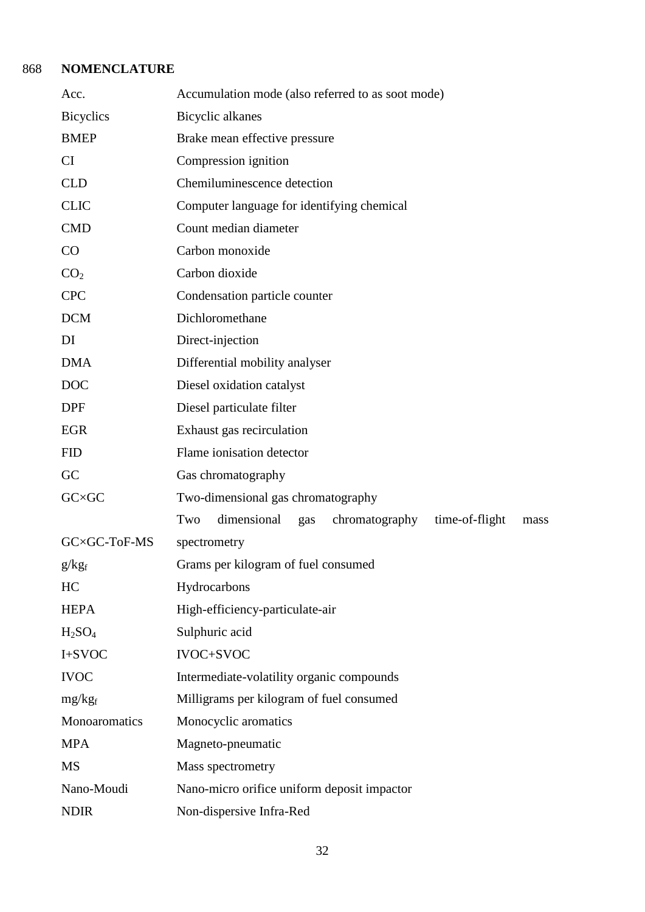# 868 **NOMENCLATURE**

| Acc.                                                     | Accumulation mode (also referred to as soot mode)                     |  |  |  |  |  |  |  |
|----------------------------------------------------------|-----------------------------------------------------------------------|--|--|--|--|--|--|--|
| <b>Bicyclics</b><br>Bicyclic alkanes                     |                                                                       |  |  |  |  |  |  |  |
| <b>BMEP</b>                                              | Brake mean effective pressure                                         |  |  |  |  |  |  |  |
| CI                                                       | Compression ignition                                                  |  |  |  |  |  |  |  |
| <b>CLD</b>                                               | Chemiluminescence detection                                           |  |  |  |  |  |  |  |
| <b>CLIC</b>                                              | Computer language for identifying chemical                            |  |  |  |  |  |  |  |
| <b>CMD</b>                                               | Count median diameter                                                 |  |  |  |  |  |  |  |
| CO                                                       | Carbon monoxide                                                       |  |  |  |  |  |  |  |
| CO <sub>2</sub>                                          | Carbon dioxide                                                        |  |  |  |  |  |  |  |
| <b>CPC</b>                                               | Condensation particle counter                                         |  |  |  |  |  |  |  |
| <b>DCM</b>                                               | Dichloromethane                                                       |  |  |  |  |  |  |  |
| DI                                                       | Direct-injection                                                      |  |  |  |  |  |  |  |
| <b>DMA</b>                                               | Differential mobility analyser                                        |  |  |  |  |  |  |  |
| <b>DOC</b>                                               | Diesel oxidation catalyst                                             |  |  |  |  |  |  |  |
| <b>DPF</b>                                               | Diesel particulate filter                                             |  |  |  |  |  |  |  |
| <b>EGR</b>                                               | Exhaust gas recirculation                                             |  |  |  |  |  |  |  |
| <b>FID</b>                                               | Flame ionisation detector                                             |  |  |  |  |  |  |  |
| GC                                                       | Gas chromatography                                                    |  |  |  |  |  |  |  |
| $G C \times G C$                                         | Two-dimensional gas chromatography                                    |  |  |  |  |  |  |  |
|                                                          | dimensional<br>Two<br>chromatography<br>time-of-flight<br>gas<br>mass |  |  |  |  |  |  |  |
| GC×GC-ToF-MS                                             | spectrometry                                                          |  |  |  |  |  |  |  |
| $g/kg_f$                                                 | Grams per kilogram of fuel consumed                                   |  |  |  |  |  |  |  |
| HC                                                       | Hydrocarbons                                                          |  |  |  |  |  |  |  |
| <b>HEPA</b>                                              | High-efficiency-particulate-air                                       |  |  |  |  |  |  |  |
| H <sub>2</sub> SO <sub>4</sub>                           | Sulphuric acid                                                        |  |  |  |  |  |  |  |
| I+SVOC                                                   | <b>IVOC+SVOC</b>                                                      |  |  |  |  |  |  |  |
| <b>IVOC</b><br>Intermediate-volatility organic compounds |                                                                       |  |  |  |  |  |  |  |
| $mg/kg_f$                                                | Milligrams per kilogram of fuel consumed                              |  |  |  |  |  |  |  |
| Monoaromatics                                            | Monocyclic aromatics                                                  |  |  |  |  |  |  |  |
| <b>MPA</b>                                               | Magneto-pneumatic                                                     |  |  |  |  |  |  |  |
| <b>MS</b>                                                | Mass spectrometry                                                     |  |  |  |  |  |  |  |
| Nano-Moudi                                               | Nano-micro orifice uniform deposit impactor                           |  |  |  |  |  |  |  |
| <b>NDIR</b>                                              | Non-dispersive Infra-Red                                              |  |  |  |  |  |  |  |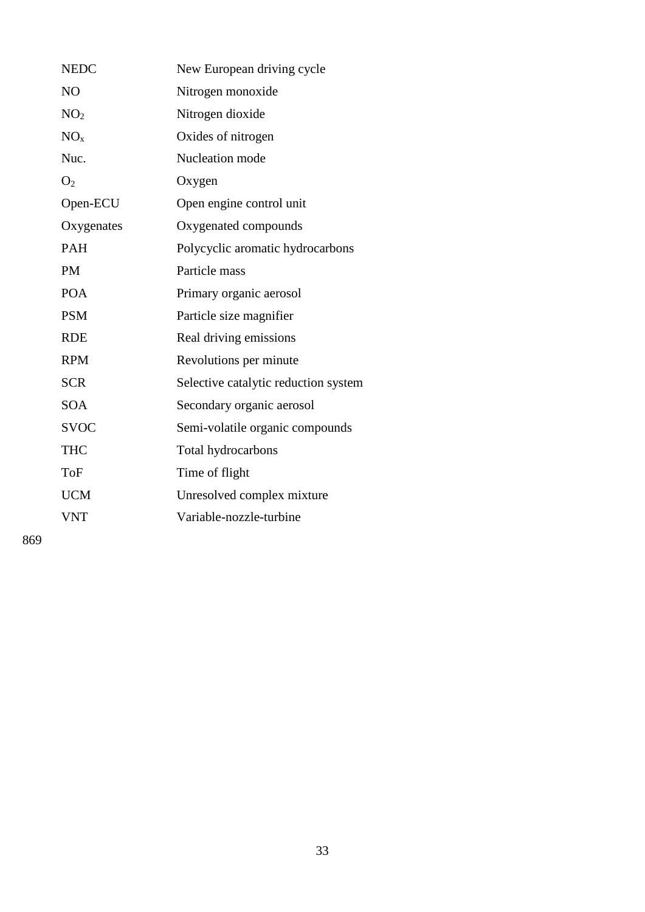| <b>NEDC</b>     | New European driving cycle           |
|-----------------|--------------------------------------|
| N <sub>O</sub>  | Nitrogen monoxide                    |
| NO <sub>2</sub> | Nitrogen dioxide                     |
| NO <sub>x</sub> | Oxides of nitrogen                   |
| Nuc.            | Nucleation mode                      |
| O <sub>2</sub>  | Oxygen                               |
| Open-ECU        | Open engine control unit             |
| Oxygenates      | Oxygenated compounds                 |
| <b>PAH</b>      | Polycyclic aromatic hydrocarbons     |
| <b>PM</b>       | Particle mass                        |
| <b>POA</b>      | Primary organic aerosol              |
| <b>PSM</b>      | Particle size magnifier              |
| <b>RDE</b>      | Real driving emissions               |
| <b>RPM</b>      | Revolutions per minute               |
| <b>SCR</b>      | Selective catalytic reduction system |
| <b>SOA</b>      | Secondary organic aerosol            |
| <b>SVOC</b>     | Semi-volatile organic compounds      |
| <b>THC</b>      | Total hydrocarbons                   |
| <b>ToF</b>      | Time of flight                       |
| <b>UCM</b>      | Unresolved complex mixture           |
| <b>VNT</b>      | Variable-nozzle-turbine              |
|                 |                                      |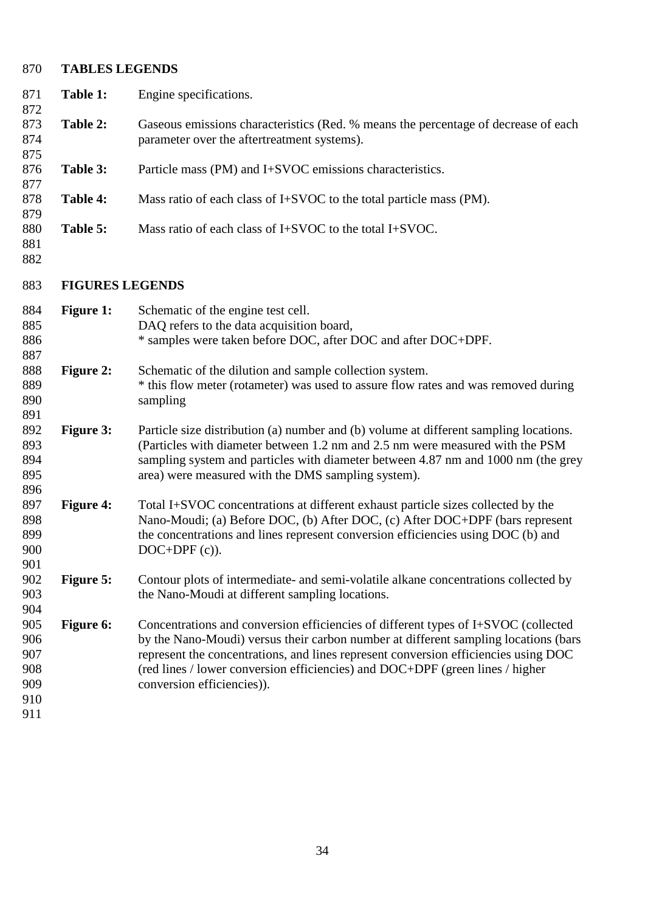## **TABLES LEGENDS Table 1:** Engine specifications. **Table 2:** Gaseous emissions characteristics (Red. % means the percentage of decrease of each parameter over the aftertreatment systems). **Table 3:** Particle mass (PM) and I+SVOC emissions characteristics. **Table 4:** Mass ratio of each class of I+SVOC to the total particle mass (PM). **Table 5:** Mass ratio of each class of I+SVOC to the total I+SVOC. **FIGURES LEGENDS Figure 1:** Schematic of the engine test cell. DAQ refers to the data acquisition board, \* samples were taken before DOC, after DOC and after DOC+DPF. **Figure 2:** Schematic of the dilution and sample collection system. \* this flow meter (rotameter) was used to assure flow rates and was removed during sampling **Figure 3:** Particle size distribution (a) number and (b) volume at different sampling locations. (Particles with diameter between 1.2 nm and 2.5 nm were measured with the PSM sampling system and particles with diameter between 4.87 nm and 1000 nm (the grey area) were measured with the DMS sampling system). **Figure 4:** Total I+SVOC concentrations at different exhaust particle sizes collected by the Nano-Moudi; (a) Before DOC, (b) After DOC, (c) After DOC+DPF (bars represent the concentrations and lines represent conversion efficiencies using DOC (b) and 900 DOC+DPF (c)). **Figure 5:** Contour plots of intermediate- and semi-volatile alkane concentrations collected by the Nano-Moudi at different sampling locations. **Figure 6:** Concentrations and conversion efficiencies of different types of I+SVOC (collected by the Nano-Moudi) versus their carbon number at different sampling locations (bars represent the concentrations, and lines represent conversion efficiencies using DOC (red lines / lower conversion efficiencies) and DOC+DPF (green lines / higher conversion efficiencies)).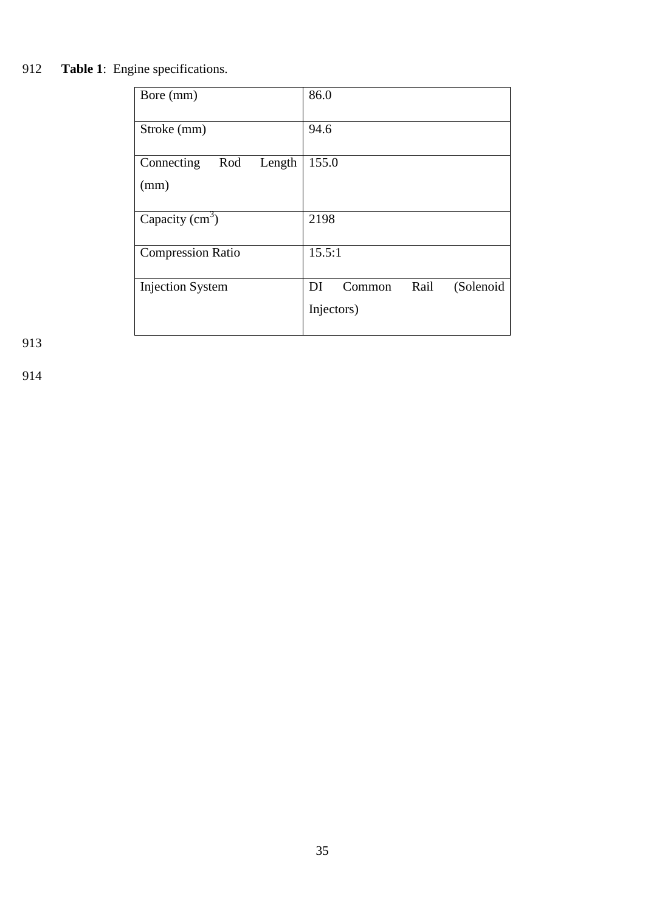# 912 **Table 1**: Engine specifications.

| Bore (mm)                           | 86.0                                            |
|-------------------------------------|-------------------------------------------------|
| Stroke (mm)                         | 94.6                                            |
| Rod<br>Connecting<br>Length<br>(mm) | 155.0                                           |
| Capacity $(cm3)$                    | 2198                                            |
| <b>Compression Ratio</b>            | 15.5:1                                          |
| <b>Injection System</b>             | Rail<br>(Solenoid<br>DI<br>Common<br>Injectors) |

913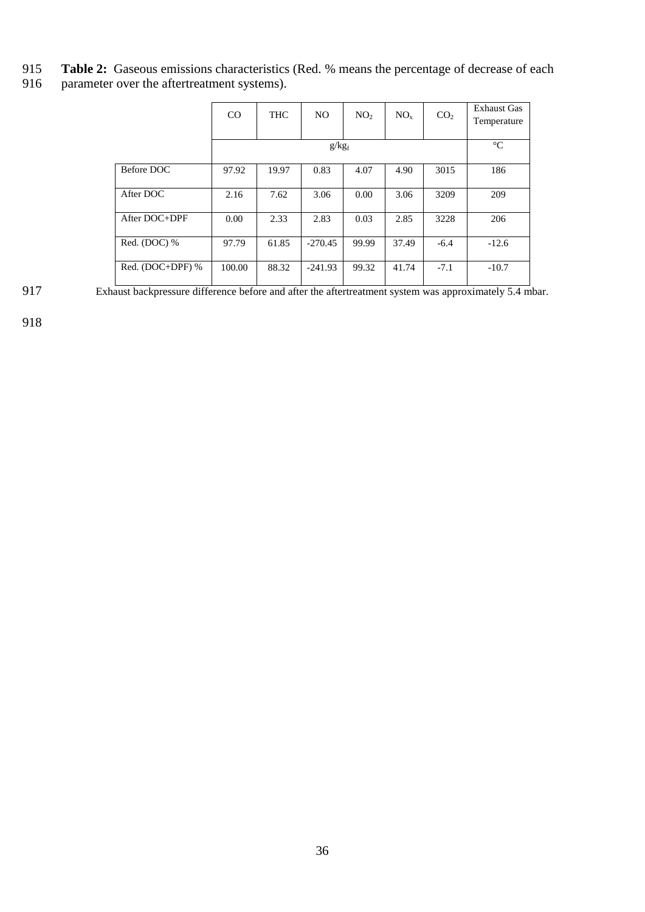- 915 **Table 2:** Gaseous emissions characteristics (Red. % means the percentage of decrease of each parameter over the aftertreatment systems).
- parameter over the aftertreatment systems).

|                  | CO     | <b>THC</b> | NO.       | NO <sub>2</sub> | $NO_{x}$ | CO <sub>2</sub> | <b>Exhaust Gas</b><br>Temperature |
|------------------|--------|------------|-----------|-----------------|----------|-----------------|-----------------------------------|
|                  |        |            | $g/kg_f$  |                 |          |                 | $\rm ^{\circ}C$                   |
| Before DOC       | 97.92  | 19.97      | 0.83      | 4.07            | 4.90     | 3015            | 186                               |
| After DOC        | 2.16   | 7.62       | 3.06      | 0.00            | 3.06     | 3209            | 209                               |
| After DOC+DPF    | 0.00   | 2.33       | 2.83      | 0.03            | 2.85     | 3228            | 206                               |
| Red. (DOC) %     | 97.79  | 61.85      | $-270.45$ | 99.99           | 37.49    | $-6.4$          | $-12.6$                           |
| Red. (DOC+DPF) % | 100.00 | 88.32      | $-241.93$ | 99.32           | 41.74    | $-7.1$          | $-10.7$                           |

917 Exhaust backpressure difference before and after the aftertreatment system was approximately 5.4 mbar.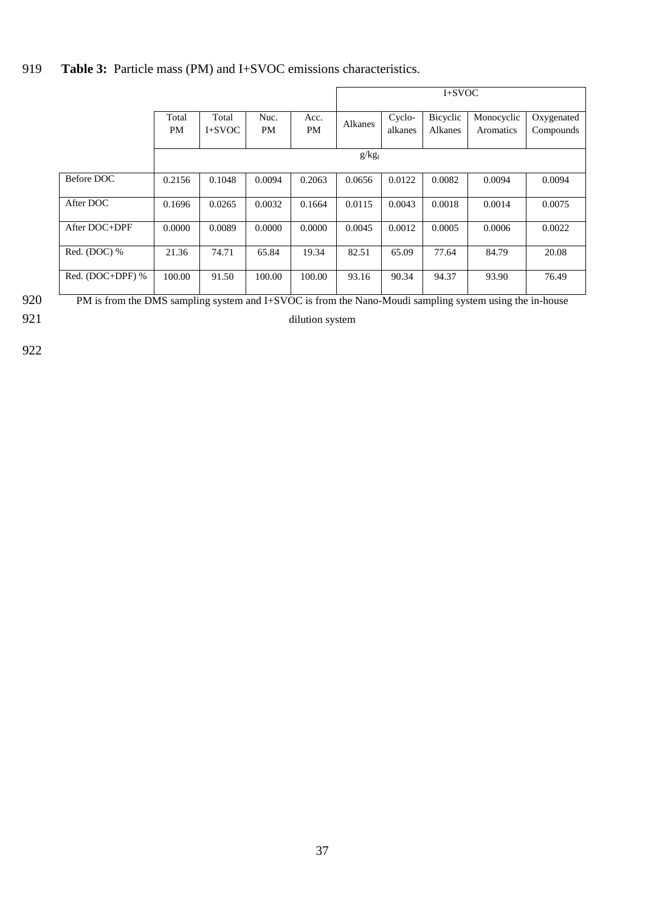# 919 **Table 3:** Particle mass (PM) and I+SVOC emissions characteristics.

|                                                                                                             |             |                   |            |            | $I+SVOC$ |                   |                     |                         |                         |
|-------------------------------------------------------------------------------------------------------------|-------------|-------------------|------------|------------|----------|-------------------|---------------------|-------------------------|-------------------------|
|                                                                                                             | Total<br>PM | Total<br>$I+SVOC$ | Nuc.<br>PM | Acc.<br>PM | Alkanes  | Cyclo-<br>alkanes | Bicyclic<br>Alkanes | Monocyclic<br>Aromatics | Oxygenated<br>Compounds |
|                                                                                                             |             |                   |            |            | $g/kg_f$ |                   |                     |                         |                         |
| Before DOC                                                                                                  | 0.2156      | 0.1048            | 0.0094     | 0.2063     | 0.0656   | 0.0122            | 0.0082              | 0.0094                  | 0.0094                  |
| After DOC                                                                                                   | 0.1696      | 0.0265            | 0.0032     | 0.1664     | 0.0115   | 0.0043            | 0.0018              | 0.0014                  | 0.0075                  |
| After DOC+DPF                                                                                               | 0.0000      | 0.0089            | 0.0000     | 0.0000     | 0.0045   | 0.0012            | 0.0005              | 0.0006                  | 0.0022                  |
| $\overline{\text{Red}}$ . (DOC) %                                                                           | 21.36       | 74.71             | 65.84      | 19.34      | 82.51    | 65.09             | 77.64               | 84.79                   | 20.08                   |
| Red. (DOC+DPF) %                                                                                            | 100.00      | 91.50             | 100.00     | 100.00     | 93.16    | 90.34             | 94.37               | 93.90                   | 76.49                   |
| $DM \leq$ from the DMC contribution of LCVOC is from the Maria Marchi contribution of the theory is because |             |                   |            |            |          |                   |                     |                         |                         |

920 PM is from the DMS sampling system and I+SVOC is from the Nano-Moudi sampling system using the in-house

# 921 dilution system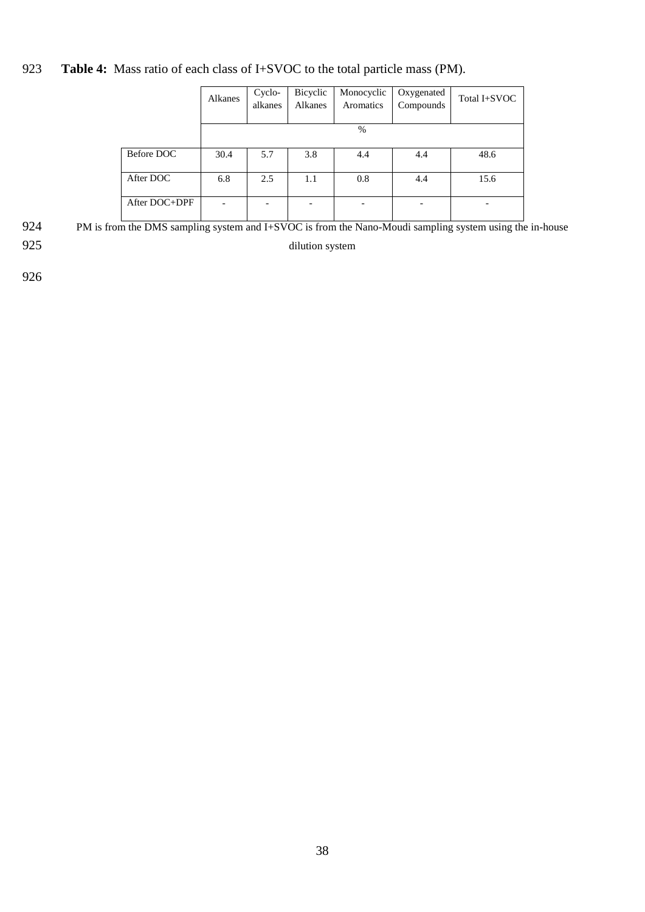# 923 **Table 4:** Mass ratio of each class of I+SVOC to the total particle mass (PM).

|               | Alkanes | Cyclo-  | Bicyclic | Monocyclic | Oxygenated | Total I+SVOC |
|---------------|---------|---------|----------|------------|------------|--------------|
|               |         | alkanes | Alkanes  | Aromatics  | Compounds  |              |
|               |         |         |          |            |            |              |
|               |         |         |          | %          |            |              |
|               |         |         |          |            |            |              |
| Before DOC    | 30.4    | 5.7     | 3.8      | 4.4        | 4.4        | 48.6         |
|               |         |         |          |            |            |              |
| After DOC     | 6.8     | 2.5     | 1.1      | 0.8        | 4.4        | 15.6         |
|               |         |         |          |            |            |              |
| After DOC+DPF |         |         |          |            |            |              |
|               |         |         |          |            |            |              |

924 PM is from the DMS sampling system and I+SVOC is from the Nano-Moudi sampling system using the in-house

925 dilution system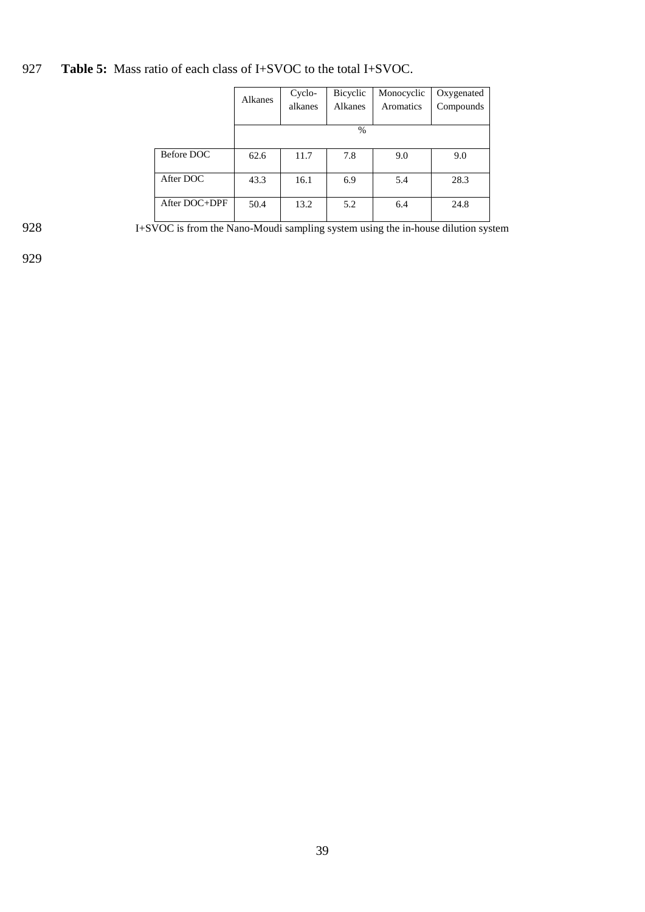927 **Table 5:** Mass ratio of each class of I+SVOC to the total I+SVOC.

|               | Alkanes | Cyclo-<br>alkanes | Bicyclic<br>Alkanes | Monocyclic<br>Aromatics | Oxygenated<br>Compounds |
|---------------|---------|-------------------|---------------------|-------------------------|-------------------------|
|               |         |                   | $\frac{0}{0}$       |                         |                         |
| Before DOC    | 62.6    | 11.7              | 7.8                 | 9.0                     | 9.0                     |
| After DOC     | 43.3    | 16.1              | 6.9                 | 5.4                     | 28.3                    |
| After DOC+DPF | 50.4    | 13.2              | 5.2                 | 6.4                     | 24.8                    |

928 I+SVOC is from the Nano-Moudi sampling system using the in-house dilution system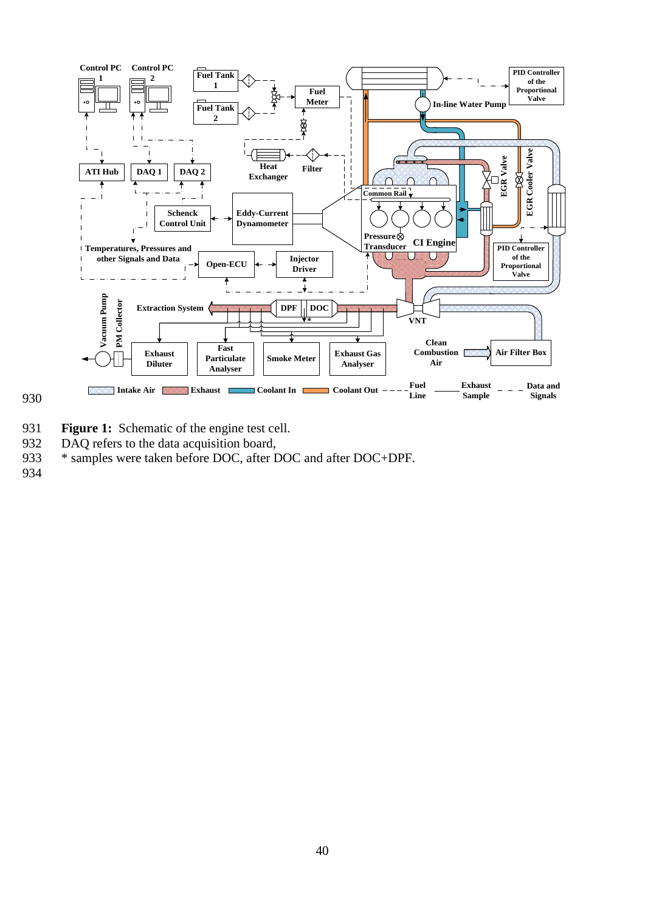

- 931 **Figure 1:** Schematic of the engine test cell.
- 932 DAQ refers to the data acquisition board,
- 933 \* samples were taken before DOC, after DOC and after DOC+DPF.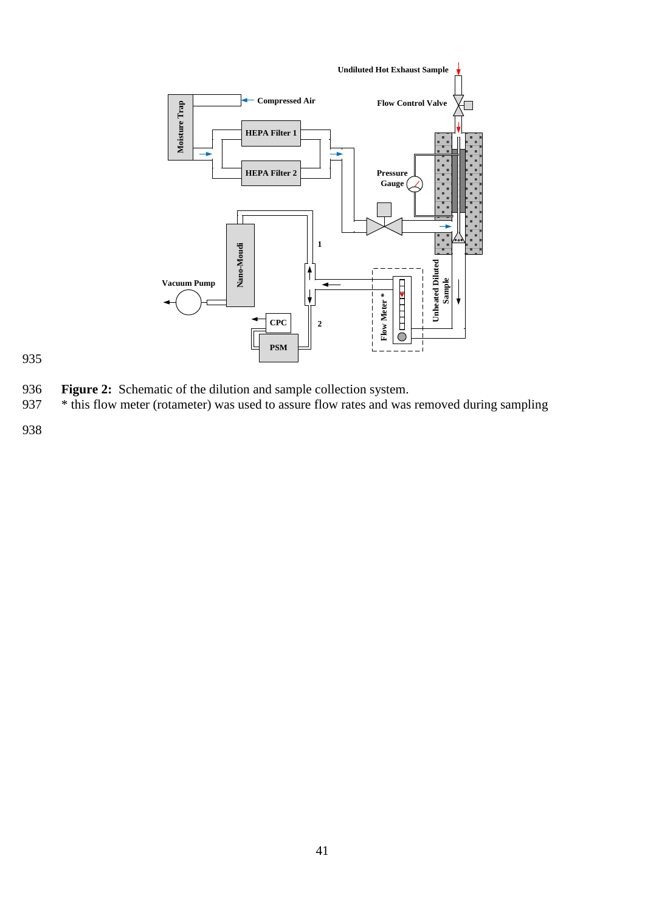

- 936 **Figure 2:** Schematic of the dilution and sample collection system.<br>937 \* this flow meter (rotameter) was used to assure flow rates and was
- <sup>\*</sup> this flow meter (rotameter) was used to assure flow rates and was removed during sampling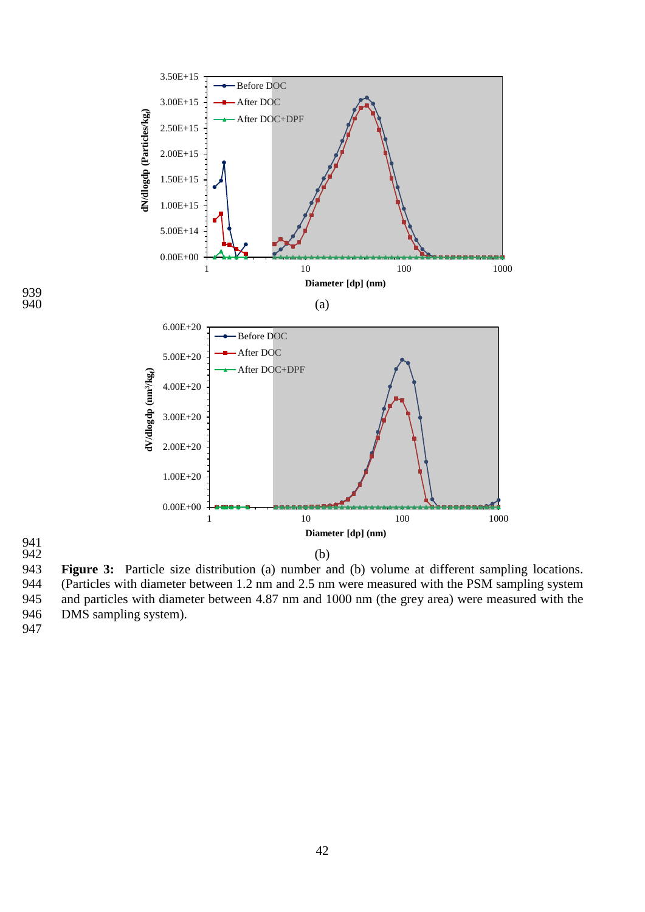

941<br>942 943 **Figure 3:** Particle size distribution (a) number and (b) volume at different sampling locations. 944 (Particles with diameter between 1.2 nm and 2.5 nm were measured with the PSM sampling system<br>945 and particles with diameter between 4.87 nm and 1000 nm (the grey area) were measured with the and particles with diameter between 4.87 nm and 1000 nm (the grey area) were measured with the 946 DMS sampling system).

939<br>940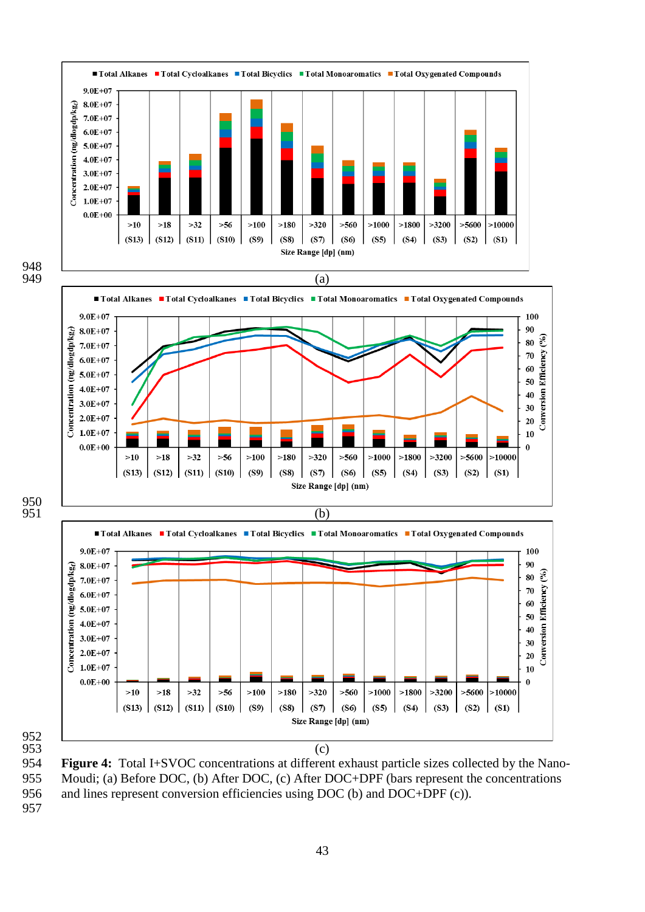

 **Figure 4:** Total I+SVOC concentrations at different exhaust particle sizes collected by the Nano- Moudi; (a) Before DOC, (b) After DOC, (c) After DOC+DPF (bars represent the concentrations and lines represent conversion efficiencies using DOC (b) and DOC+DPF (c)).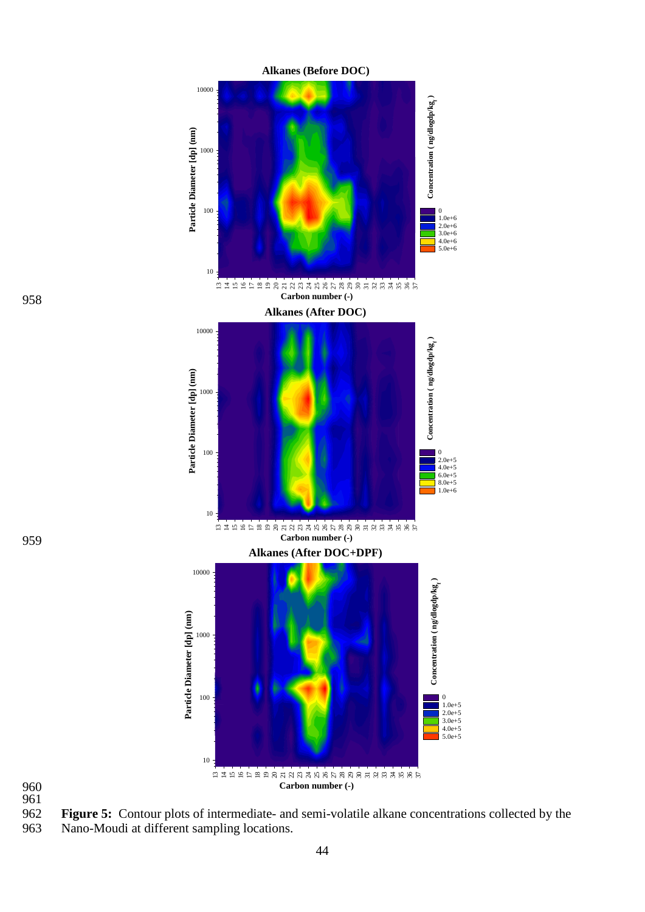

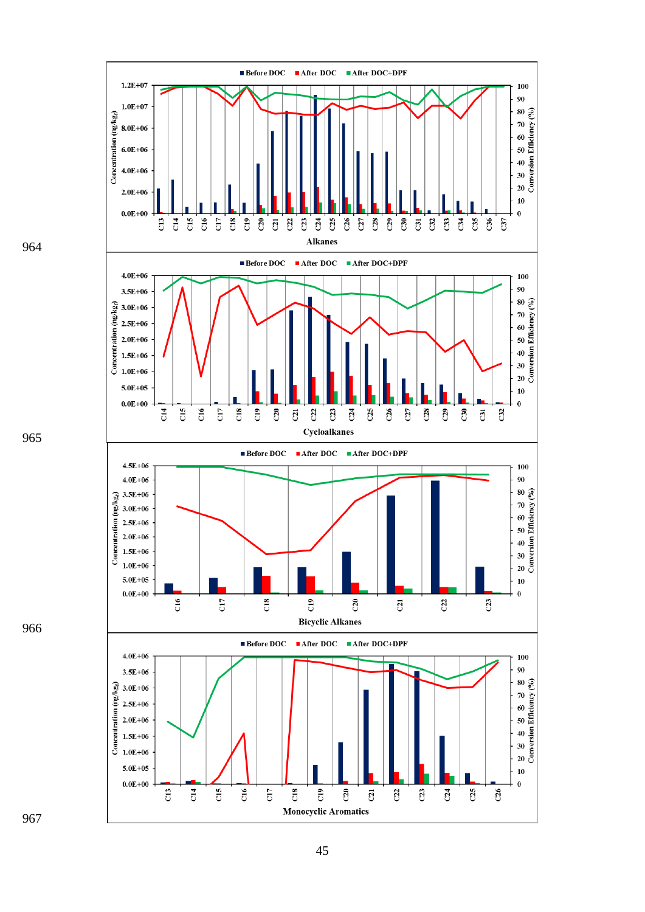